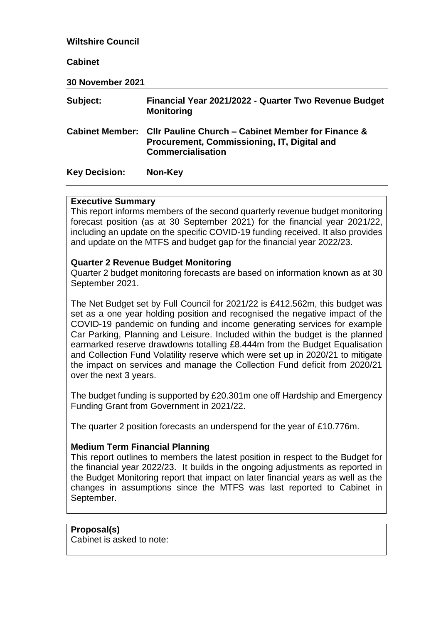#### **Wiltshire Council**

#### **Cabinet**

**30 November 2021**

| Subject:             | Financial Year 2021/2022 - Quarter Two Revenue Budget<br><b>Monitoring</b>                                                                    |
|----------------------|-----------------------------------------------------------------------------------------------------------------------------------------------|
|                      | Cabinet Member: Cllr Pauline Church – Cabinet Member for Finance &<br>Procurement, Commissioning, IT, Digital and<br><b>Commercialisation</b> |
| <b>Key Decision:</b> | Non-Key                                                                                                                                       |

#### **Executive Summary**

This report informs members of the second quarterly revenue budget monitoring forecast position (as at 30 September 2021) for the financial year 2021/22, including an update on the specific COVID-19 funding received. It also provides and update on the MTFS and budget gap for the financial year 2022/23.

#### **Quarter 2 Revenue Budget Monitoring**

Quarter 2 budget monitoring forecasts are based on information known as at 30 September 2021.

The Net Budget set by Full Council for 2021/22 is £412.562m, this budget was set as a one year holding position and recognised the negative impact of the COVID-19 pandemic on funding and income generating services for example Car Parking, Planning and Leisure. Included within the budget is the planned earmarked reserve drawdowns totalling £8.444m from the Budget Equalisation and Collection Fund Volatility reserve which were set up in 2020/21 to mitigate the impact on services and manage the Collection Fund deficit from 2020/21 over the next 3 years.

The budget funding is supported by £20.301m one off Hardship and Emergency Funding Grant from Government in 2021/22.

The quarter 2 position forecasts an underspend for the year of £10.776m.

#### **Medium Term Financial Planning**

This report outlines to members the latest position in respect to the Budget for the financial year 2022/23. It builds in the ongoing adjustments as reported in the Budget Monitoring report that impact on later financial years as well as the changes in assumptions since the MTFS was last reported to Cabinet in September.

**Proposal(s)** Cabinet is asked to note: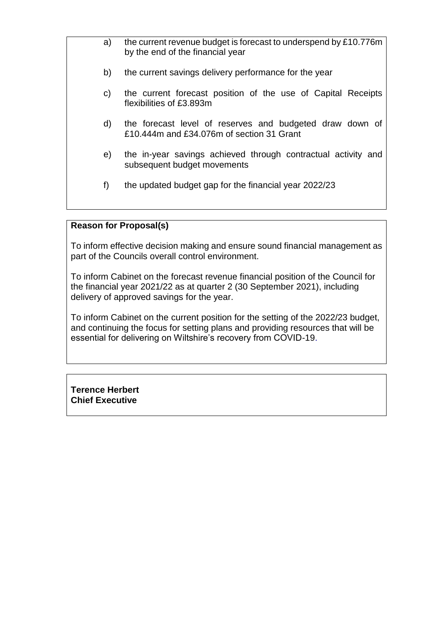- a) the current revenue budget is forecast to underspend by £10.776m by the end of the financial year
- b) the current savings delivery performance for the year
- c) the current forecast position of the use of Capital Receipts flexibilities of £3.893m
- d) the forecast level of reserves and budgeted draw down of £10.444m and £34.076m of section 31 Grant
- e) the in-year savings achieved through contractual activity and subsequent budget movements
- f) the updated budget gap for the financial year 2022/23

#### **Reason for Proposal(s)**

To inform effective decision making and ensure sound financial management as part of the Councils overall control environment.

To inform Cabinet on the forecast revenue financial position of the Council for the financial year 2021/22 as at quarter 2 (30 September 2021), including delivery of approved savings for the year.

To inform Cabinet on the current position for the setting of the 2022/23 budget, and continuing the focus for setting plans and providing resources that will be essential for delivering on Wiltshire's recovery from COVID-19.

**Terence Herbert Chief Executive**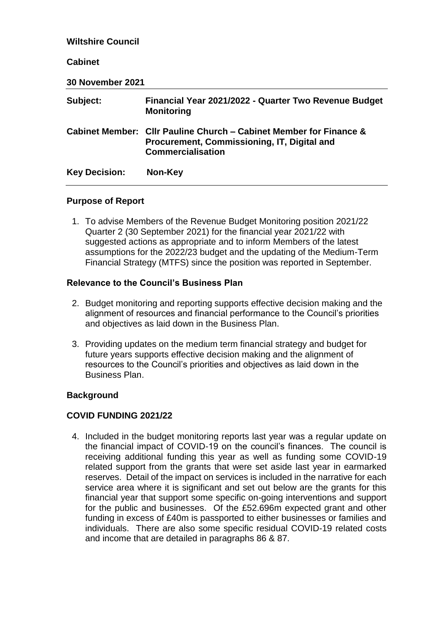# **Wiltshire Council Cabinet 30 November 2021 Subject: Financial Year 2021/2022 - Quarter Two Revenue Budget Monitoring Cabinet Member: Cllr Pauline Church – Cabinet Member for Finance & Procurement, Commissioning, IT, Digital and Commercialisation Key Decision: Non-Key**

#### **Purpose of Report**

1. To advise Members of the Revenue Budget Monitoring position 2021/22 Quarter 2 (30 September 2021) for the financial year 2021/22 with suggested actions as appropriate and to inform Members of the latest assumptions for the 2022/23 budget and the updating of the Medium-Term Financial Strategy (MTFS) since the position was reported in September.

## **Relevance to the Council's Business Plan**

- 2. Budget monitoring and reporting supports effective decision making and the alignment of resources and financial performance to the Council's priorities and objectives as laid down in the Business Plan.
- 3. Providing updates on the medium term financial strategy and budget for future years supports effective decision making and the alignment of resources to the Council's priorities and objectives as laid down in the Business Plan.

## **Background**

## **COVID FUNDING 2021/22**

4. Included in the budget monitoring reports last year was a regular update on the financial impact of COVID-19 on the council's finances. The council is receiving additional funding this year as well as funding some COVID-19 related support from the grants that were set aside last year in earmarked reserves. Detail of the impact on services is included in the narrative for each service area where it is significant and set out below are the grants for this financial year that support some specific on-going interventions and support for the public and businesses. Of the £52.696m expected grant and other funding in excess of £40m is passported to either businesses or families and individuals. There are also some specific residual COVID-19 related costs and income that are detailed in paragraphs 86 & 87.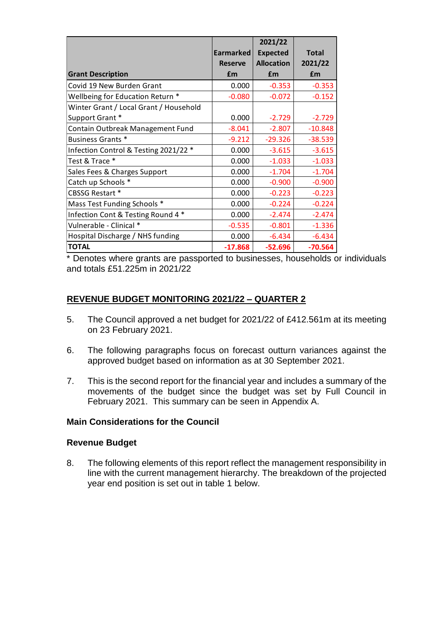|                                        | <b>Earmarked</b> | 2021/22                              | <b>Total</b> |
|----------------------------------------|------------------|--------------------------------------|--------------|
|                                        | <b>Reserve</b>   | <b>Expected</b><br><b>Allocation</b> | 2021/22      |
|                                        |                  |                                      |              |
| <b>Grant Description</b>               | £m               | £m                                   | £m           |
| Covid 19 New Burden Grant              | 0.000            | $-0.353$                             | $-0.353$     |
| Wellbeing for Education Return *       | $-0.080$         | $-0.072$                             | $-0.152$     |
| Winter Grant / Local Grant / Household |                  |                                      |              |
| Support Grant *                        | 0.000            | $-2.729$                             | $-2.729$     |
| Contain Outbreak Management Fund       | $-8.041$         | $-2.807$                             | $-10.848$    |
| <b>Business Grants *</b>               | $-9.212$         | $-29.326$                            | $-38.539$    |
| Infection Control & Testing 2021/22 *  | 0.000            | $-3.615$                             | $-3.615$     |
| Test & Trace *                         | 0.000            | $-1.033$                             | $-1.033$     |
| Sales Fees & Charges Support           | 0.000            | $-1.704$                             | $-1.704$     |
| Catch up Schools *                     | 0.000            | $-0.900$                             | $-0.900$     |
| <b>CBSSG Restart *</b>                 | 0.000            | $-0.223$                             | $-0.223$     |
| Mass Test Funding Schools *            | 0.000            | $-0.224$                             | $-0.224$     |
| Infection Cont & Testing Round 4 *     | 0.000            | $-2.474$                             | $-2.474$     |
| Vulnerable - Clinical *                | $-0.535$         | $-0.801$                             | $-1.336$     |
| Hospital Discharge / NHS funding       | 0.000            | $-6.434$                             | $-6.434$     |
| <b>TOTAL</b>                           | $-17.868$        | $-52.696$                            | $-70.564$    |

\* Denotes where grants are passported to businesses, households or individuals and totals £51.225m in 2021/22

## **REVENUE BUDGET MONITORING 2021/22 – QUARTER 2**

- 5. The Council approved a net budget for 2021/22 of £412.561m at its meeting on 23 February 2021.
- 6. The following paragraphs focus on forecast outturn variances against the approved budget based on information as at 30 September 2021.
- 7. This is the second report for the financial year and includes a summary of the movements of the budget since the budget was set by Full Council in February 2021. This summary can be seen in Appendix A.

#### **Main Considerations for the Council**

#### **Revenue Budget**

8. The following elements of this report reflect the management responsibility in line with the current management hierarchy. The breakdown of the projected year end position is set out in table 1 below.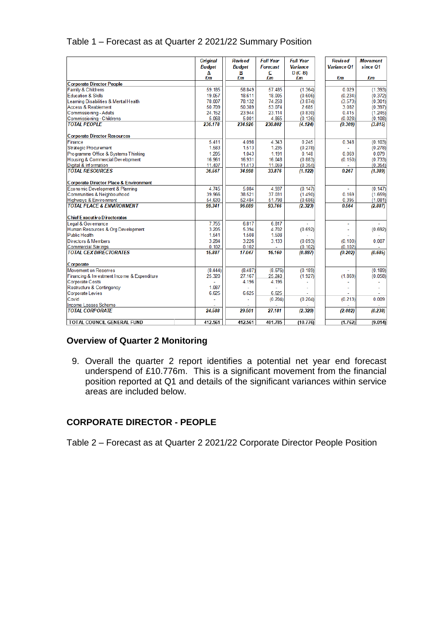| Table 1 – Forecast as at Quarter 2 2021/22 Summary Position |
|-------------------------------------------------------------|
|-------------------------------------------------------------|

|                                             | <b>Original</b> | <b>Revised</b> | <b>Full Year</b> | <b>Full Year</b> | Revised            | <b>Movement</b> |
|---------------------------------------------|-----------------|----------------|------------------|------------------|--------------------|-----------------|
|                                             | <b>Budget</b>   | <b>Budget</b>  | Forecast         | <b>Variance</b>  | <b>Variance O1</b> | since O1        |
|                                             | Α               | В              | C                | $D(C-B)$         |                    |                 |
|                                             | £m              | £m             | £m               | £m               | £m                 | £m              |
| <b>Corporate Director People</b>            |                 |                |                  |                  |                    |                 |
| Family & Childrens                          | 59.185          | 58.849         | 57.485           | (1.364)          | 0.029              | (1.393)         |
| <b>Education &amp; Skills</b>               | 19.057          | 18.611         | 18.005           | (0.606)          | (0.234)            | (0.372)         |
| Learning Disabilities & Mental Health       | 78.007          | 78.132         | 74.258           | (3.874)          | (3.573)            | (0.301)         |
| <b>Access &amp; Reablement</b>              | 50.709          | 50.389         | 53.074           | 2.685            | 3.082              | (0.397)         |
| Commissioning - Adults                      | 24.152          | 23.944         | 23.114           | (0.830)          | 0.415              | (1.245)         |
| Commissioning - Childrens                   | 5.068           | 5.001          | 4.865            | (0.136)          | (0.028)            | (0.108)         |
| <b>TOTAL PEOPLE</b>                         | 236.178         | 234.926        | 230.802          | (4.124)          | (0.309)            | (3.815)         |
| <b>Corporate Director Resources</b>         |                 |                |                  |                  |                    |                 |
| Finance                                     | 5.411           | 4.098          | 4.343            | 0.245            | 0.348              | (0.103)         |
| Strategic Procurement                       | 1.583           | 1.513          | 1.235            | (0.278)          |                    | (0.278)         |
| Programme Office & Systems Thinking         | 1.205           | 1.043          | 1.191            | 0.148            | 0.069              | 0.079           |
| Housing & Commercial Development            | 16.961          | 16.931         | 16.048           | (0.883)          | (0.150)            | (0.733)         |
| Digital & Information                       | 11.407          | 11.413         | 11.059           | (0.354)          |                    | (0.354)         |
| <b>TOTAL RESOURCES</b>                      | 36.567          | 34.998         | 33.876           | (1.122)          | 0.267              | (1.389)         |
| Corporate Director Place & Environment      |                 |                |                  |                  |                    |                 |
| Economic Development & Planning             | 4.745           | 5.084          | 4.937            | (0.147)          | ÷                  | (0.147)         |
| Communities & Neighbourhood                 | 39.966          | 38.521         | 37.031           | (1.490)          | 0.169              | (1.659)         |
| Highways & Environment                      | 54.630          | 52.484         | 51.798           | (0.686)          | 0.395              | (1.081)         |
| <b>TOTAL PLACE &amp; ENVIRONMENT</b>        | 99.341          | 96.089         | 93.766           | (2.323)          | 0.564              | (2.887)         |
| Chief Executive Directorates                |                 |                |                  |                  |                    |                 |
| Legal & Governance                          | 7.755           | 6.817          | 6.817            |                  |                    |                 |
| Human Resources & Org Development           | 3.205           | 5.394          | 4.702            | (0.692)          |                    | (0.692)         |
| Public Health                               | 1.541           | 1.508          | 1.508            |                  |                    |                 |
| Directors & Members                         | 3.284           | 3.226          | 3.133            | (0.093)          | (0.100)            | 0.007           |
| <b>Commercial Savings</b>                   | 0.102           | 0.102          |                  | (0.102)          | (0.102)            |                 |
| <b>TOTAL CEX DIRECTORATES</b>               | 15.887          | 17.047         | 16.160           | (0.887)          | (0.202)            | (0.685)         |
| Corporate                                   |                 |                |                  |                  |                    |                 |
| Movement on Reserves                        | (8.444)         | (8.487)        | (8.676)          | (0.189)          | L.                 | (0.189)         |
| Financing & Investment Income & Expenditure | 25.320          | 27.167         | 25.240           | (1.927)          | (1.869)            | (0.058)         |
| <b>Corporate Costs</b>                      |                 | 4.196          | 4.196            |                  |                    |                 |
| Restructure & Contingency                   | 1.087           |                |                  |                  |                    |                 |
| <b>Corporate Levies</b>                     | 6.625           | 6.625          | 6.625            |                  |                    |                 |
| Covid                                       |                 |                | (0.204)          | (0.204)          | (0.213)            | 0.009           |
| Income Losses Scheme                        |                 |                |                  |                  |                    |                 |
| <b>TOTAL CORPORATE</b>                      | 24.588          | 29.501         | 27.181           | (2.320)          | (2.082)            | (0.238)         |
| TOTAL COUNCIL GENERAL FUND                  | 412.561         | 412.561        | 401.785          | (10.776)         | (1.762)            | (9.014)         |

## **Overview of Quarter 2 Monitoring**

9. Overall the quarter 2 report identifies a potential net year end forecast underspend of £10.776m. This is a significant movement from the financial position reported at Q1 and details of the significant variances within service areas are included below.

## **CORPORATE DIRECTOR - PEOPLE**

Table 2 – Forecast as at Quarter 2 2021/22 Corporate Director People Position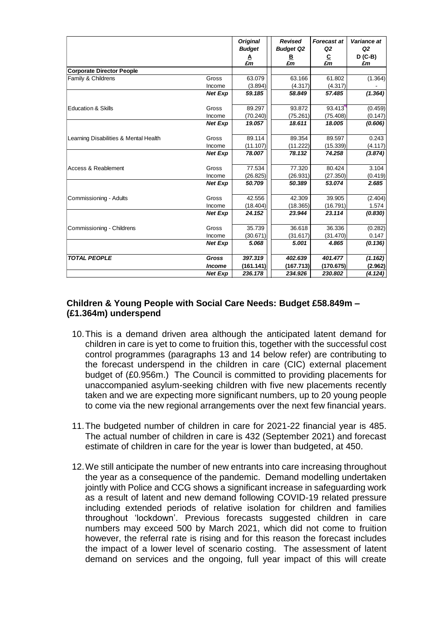|                                       |                | <b>Original</b>          | Revised                     | <b>Forecast at</b>          | Variance at                       |
|---------------------------------------|----------------|--------------------------|-----------------------------|-----------------------------|-----------------------------------|
|                                       |                | <b>Budget</b><br>A<br>£m | <b>Budget Q2</b><br>B<br>£m | Q2<br>$\frac{C}{\pounds m}$ | Q <sub>2</sub><br>$D$ (C-B)<br>£m |
| <b>Corporate Director People</b>      |                |                          |                             |                             |                                   |
| Family & Childrens                    | Gross          | 63.079                   | 63.166                      | 61.802                      | (1.364)                           |
|                                       | Income         | (3.894)                  | (4.317)                     | (4.317)                     |                                   |
|                                       | <b>Net Exp</b> | 59.185                   | 58.849                      | 57.485                      | (1.364)                           |
| <b>Education &amp; Skills</b>         | Gross          | 89.297                   | 93.872                      | 93.413                      | (0.459)                           |
|                                       | Income         | (70.240)                 | (75.261)                    | (75.408)                    | (0.147)                           |
|                                       | <b>Net Exp</b> | 19.057                   | 18.611                      | 18.005                      | (0.606)                           |
| Learning Disabilities & Mental Health | Gross          | 89.114                   | 89.354                      | 89.597                      | 0.243                             |
|                                       | Income         | (11.107)                 | (11.222)                    | (15.339)                    | (4.117)                           |
|                                       | <b>Net Exp</b> | 78.007                   | 78.132                      | 74.258                      | (3.874)                           |
| Access & Reablement                   | Gross          | 77.534                   | 77.320                      | 80.424                      | 3.104                             |
|                                       | Income         | (26.825)                 | (26.931)                    | (27.350)                    | (0.419)                           |
|                                       | <b>Net Exp</b> | 50.709                   | 50.389                      | 53.074                      | 2.685                             |
| Commissioning - Adults                | Gross          | 42.556                   | 42.309                      | 39.905                      | (2.404)                           |
|                                       | Income         | (18.404)                 | (18.365)                    | (16.791)                    | 1.574                             |
|                                       | <b>Net Exp</b> | 24.152                   | 23.944                      | 23.114                      | (0.830)                           |
| Commissioning - Childrens             | Gross          | 35.739                   | 36.618                      | 36.336                      | (0.282)                           |
|                                       | Income         | (30.671)                 | (31.617)                    | (31.470)                    | 0.147                             |
|                                       | <b>Net Exp</b> | 5.068                    | 5.001                       | 4.865                       | (0.136)                           |
| <b>TOTAL PEOPLE</b>                   | Gross          | 397.319                  | 402.639                     | 401.477                     | (1.162)                           |
|                                       | <b>Income</b>  | (161.141)                | (167.713)                   | (170.675)                   | (2.962)                           |
|                                       | <b>Net Exp</b> | 236.178                  | 234.926                     | 230.802                     | (4.124)                           |

## **Children & Young People with Social Care Needs: Budget £58.849m – (£1.364m) underspend**

- 10.This is a demand driven area although the anticipated latent demand for children in care is yet to come to fruition this, together with the successful cost control programmes (paragraphs 13 and 14 below refer) are contributing to the forecast underspend in the children in care (CIC) external placement budget of (£0.956m.) The Council is committed to providing placements for unaccompanied asylum-seeking children with five new placements recently taken and we are expecting more significant numbers, up to 20 young people to come via the new regional arrangements over the next few financial years.
- 11.The budgeted number of children in care for 2021-22 financial year is 485. The actual number of children in care is 432 (September 2021) and forecast estimate of children in care for the year is lower than budgeted, at 450.
- 12.We still anticipate the number of new entrants into care increasing throughout the year as a consequence of the pandemic. Demand modelling undertaken jointly with Police and CCG shows a significant increase in safeguarding work as a result of latent and new demand following COVID-19 related pressure including extended periods of relative isolation for children and families throughout 'lockdown'. Previous forecasts suggested children in care numbers may exceed 500 by March 2021, which did not come to fruition however, the referral rate is rising and for this reason the forecast includes the impact of a lower level of scenario costing. The assessment of latent demand on services and the ongoing, full year impact of this will create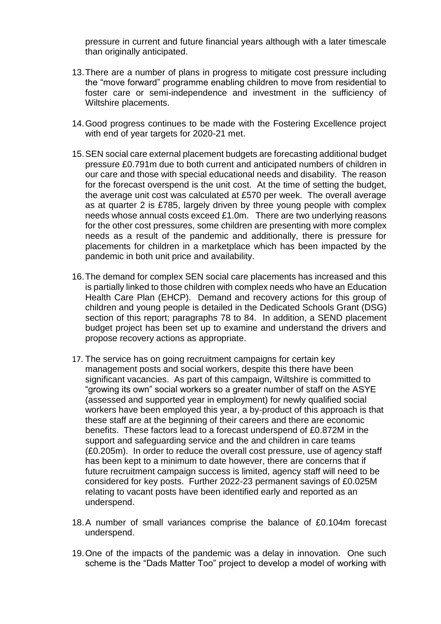pressure in current and future financial years although with a later timescale than originally anticipated.

- 13.There are a number of plans in progress to mitigate cost pressure including the "move forward" programme enabling children to move from residential to foster care or semi-independence and investment in the sufficiency of Wiltshire placements.
- 14.Good progress continues to be made with the Fostering Excellence project with end of year targets for 2020-21 met.
- 15.SEN social care external placement budgets are forecasting additional budget pressure £0.791m due to both current and anticipated numbers of children in our care and those with special educational needs and disability. The reason for the forecast overspend is the unit cost. At the time of setting the budget, the average unit cost was calculated at £570 per week. The overall average as at quarter 2 is £785, largely driven by three young people with complex needs whose annual costs exceed £1.0m. There are two underlying reasons for the other cost pressures, some children are presenting with more complex needs as a result of the pandemic and additionally, there is pressure for placements for children in a marketplace which has been impacted by the pandemic in both unit price and availability.
- 16.The demand for complex SEN social care placements has increased and this is partially linked to those children with complex needs who have an Education Health Care Plan (EHCP). Demand and recovery actions for this group of children and young people is detailed in the Dedicated Schools Grant (DSG) section of this report; paragraphs 78 to 84. In addition, a SEND placement budget project has been set up to examine and understand the drivers and propose recovery actions as appropriate.
- 17. The service has on going recruitment campaigns for certain key management posts and social workers, despite this there have been significant vacancies. As part of this campaign, Wiltshire is committed to "growing its own" social workers so a greater number of staff on the ASYE (assessed and supported year in employment) for newly qualified social workers have been employed this year, a by-product of this approach is that these staff are at the beginning of their careers and there are economic benefits. These factors lead to a forecast underspend of £0.872M in the support and safeguarding service and the and children in care teams (£0.205m). In order to reduce the overall cost pressure, use of agency staff has been kept to a minimum to date however, there are concerns that if future recruitment campaign success is limited, agency staff will need to be considered for key posts. Further 2022-23 permanent savings of £0.025M relating to vacant posts have been identified early and reported as an underspend.
- 18.A number of small variances comprise the balance of £0.104m forecast underspend.
- 19.One of the impacts of the pandemic was a delay in innovation. One such scheme is the "Dads Matter Too" project to develop a model of working with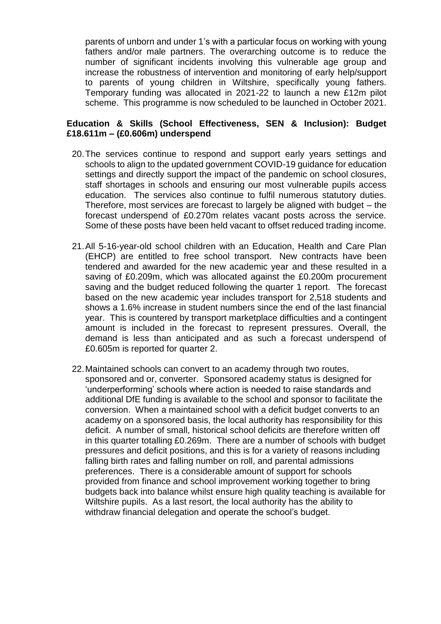parents of unborn and under 1's with a particular focus on working with young fathers and/or male partners. The overarching outcome is to reduce the number of significant incidents involving this vulnerable age group and increase the robustness of intervention and monitoring of early help/support to parents of young children in Wiltshire, specifically young fathers. Temporary funding was allocated in 2021-22 to launch a new £12m pilot scheme. This programme is now scheduled to be launched in October 2021.

#### **Education & Skills (School Effectiveness, SEN & Inclusion): Budget £18.611m – (£0.606m) underspend**

- 20.The services continue to respond and support early years settings and schools to align to the updated government COVID-19 guidance for education settings and directly support the impact of the pandemic on school closures, staff shortages in schools and ensuring our most vulnerable pupils access education. The services also continue to fulfil numerous statutory duties. Therefore, most services are forecast to largely be aligned with budget – the forecast underspend of £0.270m relates vacant posts across the service. Some of these posts have been held vacant to offset reduced trading income.
- 21.All 5-16-year-old school children with an Education, Health and Care Plan (EHCP) are entitled to free school transport. New contracts have been tendered and awarded for the new academic year and these resulted in a saving of £0.209m, which was allocated against the £0.200m procurement saving and the budget reduced following the quarter 1 report. The forecast based on the new academic year includes transport for 2,518 students and shows a 1.6% increase in student numbers since the end of the last financial year. This is countered by transport marketplace difficulties and a contingent amount is included in the forecast to represent pressures. Overall, the demand is less than anticipated and as such a forecast underspend of £0.605m is reported for quarter 2.
- 22.Maintained schools can convert to an academy through two routes, sponsored and or, converter. Sponsored academy status is designed for 'underperforming' schools where action is needed to raise standards and additional DfE funding is available to the school and sponsor to facilitate the conversion. When a maintained school with a deficit budget converts to an academy on a sponsored basis, the local authority has responsibility for this deficit. A number of small, historical school deficits are therefore written off in this quarter totalling £0.269m. There are a number of schools with budget pressures and deficit positions, and this is for a variety of reasons including falling birth rates and falling number on roll, and parental admissions preferences. There is a considerable amount of support for schools provided from finance and school improvement working together to bring budgets back into balance whilst ensure high quality teaching is available for Wiltshire pupils. As a last resort, the local authority has the ability to withdraw financial delegation and operate the school's budget.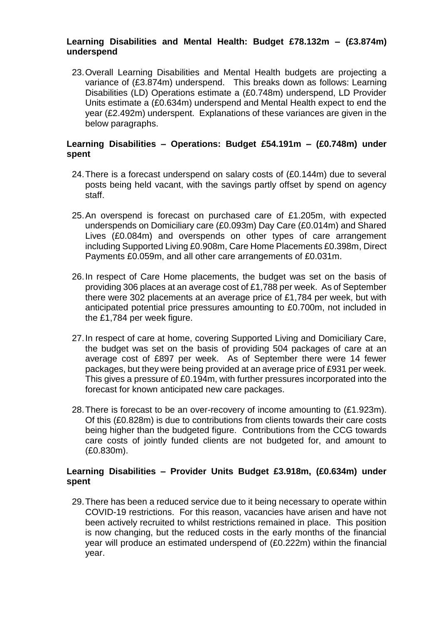#### **Learning Disabilities and Mental Health: Budget £78.132m – (£3.874m) underspend**

23.Overall Learning Disabilities and Mental Health budgets are projecting a variance of (£3.874m) underspend. This breaks down as follows: Learning Disabilities (LD) Operations estimate a (£0.748m) underspend, LD Provider Units estimate a (£0.634m) underspend and Mental Health expect to end the year (£2.492m) underspent. Explanations of these variances are given in the below paragraphs.

## **Learning Disabilities – Operations: Budget £54.191m – (£0.748m) under spent**

- 24.There is a forecast underspend on salary costs of (£0.144m) due to several posts being held vacant, with the savings partly offset by spend on agency staff.
- 25.An overspend is forecast on purchased care of £1.205m, with expected underspends on Domiciliary care (£0.093m) Day Care (£0.014m) and Shared Lives (£0.084m) and overspends on other types of care arrangement including Supported Living £0.908m, Care Home Placements £0.398m, Direct Payments £0.059m, and all other care arrangements of £0.031m.
- 26.In respect of Care Home placements, the budget was set on the basis of providing 306 places at an average cost of £1,788 per week. As of September there were 302 placements at an average price of £1,784 per week, but with anticipated potential price pressures amounting to £0.700m, not included in the £1,784 per week figure.
- 27.In respect of care at home, covering Supported Living and Domiciliary Care, the budget was set on the basis of providing 504 packages of care at an average cost of £897 per week. As of September there were 14 fewer packages, but they were being provided at an average price of £931 per week. This gives a pressure of £0.194m, with further pressures incorporated into the forecast for known anticipated new care packages.
- 28.There is forecast to be an over-recovery of income amounting to (£1.923m). Of this (£0.828m) is due to contributions from clients towards their care costs being higher than the budgeted figure. Contributions from the CCG towards care costs of jointly funded clients are not budgeted for, and amount to (£0.830m).

## **Learning Disabilities – Provider Units Budget £3.918m, (£0.634m) under spent**

29.There has been a reduced service due to it being necessary to operate within COVID-19 restrictions. For this reason, vacancies have arisen and have not been actively recruited to whilst restrictions remained in place. This position is now changing, but the reduced costs in the early months of the financial year will produce an estimated underspend of (£0.222m) within the financial year.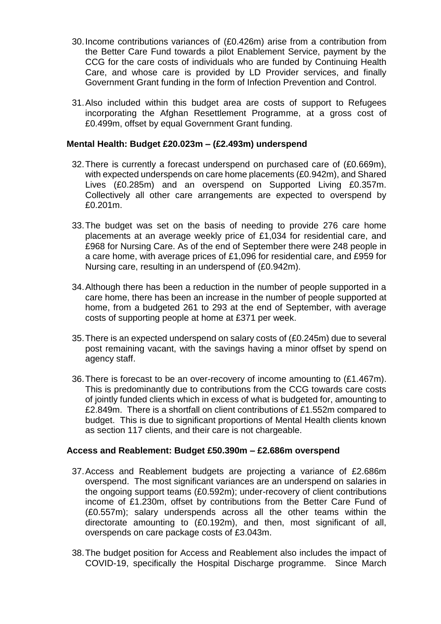- 30.Income contributions variances of (£0.426m) arise from a contribution from the Better Care Fund towards a pilot Enablement Service, payment by the CCG for the care costs of individuals who are funded by Continuing Health Care, and whose care is provided by LD Provider services, and finally Government Grant funding in the form of Infection Prevention and Control.
- 31.Also included within this budget area are costs of support to Refugees incorporating the Afghan Resettlement Programme, at a gross cost of £0.499m, offset by equal Government Grant funding.

#### **Mental Health: Budget £20.023m – (£2.493m) underspend**

- 32.There is currently a forecast underspend on purchased care of (£0.669m), with expected underspends on care home placements (£0.942m), and Shared Lives (£0.285m) and an overspend on Supported Living £0.357m. Collectively all other care arrangements are expected to overspend by £0.201m.
- 33.The budget was set on the basis of needing to provide 276 care home placements at an average weekly price of £1,034 for residential care, and £968 for Nursing Care. As of the end of September there were 248 people in a care home, with average prices of £1,096 for residential care, and £959 for Nursing care, resulting in an underspend of (£0.942m).
- 34.Although there has been a reduction in the number of people supported in a care home, there has been an increase in the number of people supported at home, from a budgeted 261 to 293 at the end of September, with average costs of supporting people at home at £371 per week.
- 35.There is an expected underspend on salary costs of (£0.245m) due to several post remaining vacant, with the savings having a minor offset by spend on agency staff.
- 36.There is forecast to be an over-recovery of income amounting to (£1.467m). This is predominantly due to contributions from the CCG towards care costs of jointly funded clients which in excess of what is budgeted for, amounting to £2.849m. There is a shortfall on client contributions of £1.552m compared to budget. This is due to significant proportions of Mental Health clients known as section 117 clients, and their care is not chargeable.

#### **Access and Reablement: Budget £50.390m – £2.686m overspend**

- 37.Access and Reablement budgets are projecting a variance of £2.686m overspend. The most significant variances are an underspend on salaries in the ongoing support teams (£0.592m); under-recovery of client contributions income of £1.230m, offset by contributions from the Better Care Fund of (£0.557m); salary underspends across all the other teams within the directorate amounting to (£0.192m), and then, most significant of all, overspends on care package costs of £3.043m.
- 38.The budget position for Access and Reablement also includes the impact of COVID-19, specifically the Hospital Discharge programme. Since March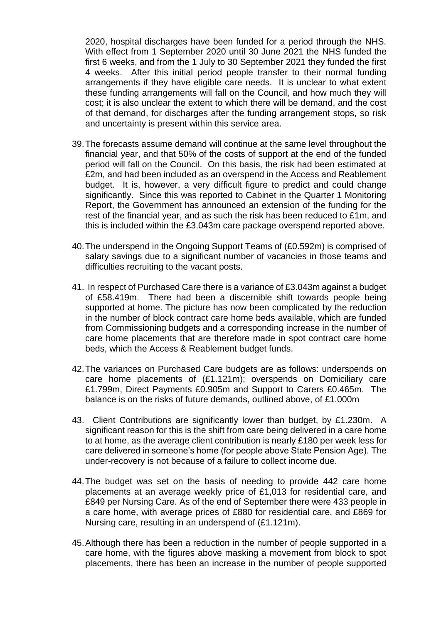2020, hospital discharges have been funded for a period through the NHS. With effect from 1 September 2020 until 30 June 2021 the NHS funded the first 6 weeks, and from the 1 July to 30 September 2021 they funded the first 4 weeks. After this initial period people transfer to their normal funding arrangements if they have eligible care needs. It is unclear to what extent these funding arrangements will fall on the Council, and how much they will cost; it is also unclear the extent to which there will be demand, and the cost of that demand, for discharges after the funding arrangement stops, so risk and uncertainty is present within this service area.

- 39.The forecasts assume demand will continue at the same level throughout the financial year, and that 50% of the costs of support at the end of the funded period will fall on the Council. On this basis, the risk had been estimated at £2m, and had been included as an overspend in the Access and Reablement budget. It is, however, a very difficult figure to predict and could change significantly. Since this was reported to Cabinet in the Quarter 1 Monitoring Report, the Government has announced an extension of the funding for the rest of the financial year, and as such the risk has been reduced to £1m, and this is included within the £3.043m care package overspend reported above.
- 40.The underspend in the Ongoing Support Teams of (£0.592m) is comprised of salary savings due to a significant number of vacancies in those teams and difficulties recruiting to the vacant posts.
- 41. In respect of Purchased Care there is a variance of £3.043m against a budget of £58.419m. There had been a discernible shift towards people being supported at home. The picture has now been complicated by the reduction in the number of block contract care home beds available, which are funded from Commissioning budgets and a corresponding increase in the number of care home placements that are therefore made in spot contract care home beds, which the Access & Reablement budget funds.
- 42.The variances on Purchased Care budgets are as follows: underspends on care home placements of (£1.121m); overspends on Domiciliary care £1.799m, Direct Payments £0.905m and Support to Carers £0.465m. The balance is on the risks of future demands, outlined above, of £1.000m
- 43. Client Contributions are significantly lower than budget, by £1.230m. A significant reason for this is the shift from care being delivered in a care home to at home, as the average client contribution is nearly £180 per week less for care delivered in someone's home (for people above State Pension Age). The under-recovery is not because of a failure to collect income due.
- 44.The budget was set on the basis of needing to provide 442 care home placements at an average weekly price of £1,013 for residential care, and £849 per Nursing Care. As of the end of September there were 433 people in a care home, with average prices of £880 for residential care, and £869 for Nursing care, resulting in an underspend of (£1.121m).
- 45.Although there has been a reduction in the number of people supported in a care home, with the figures above masking a movement from block to spot placements, there has been an increase in the number of people supported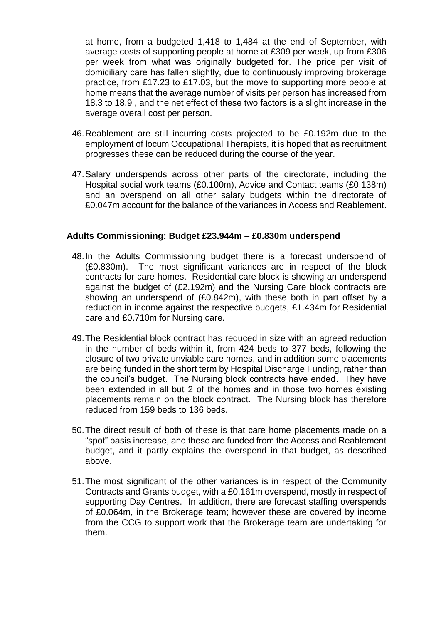at home, from a budgeted 1,418 to 1,484 at the end of September, with average costs of supporting people at home at £309 per week, up from £306 per week from what was originally budgeted for. The price per visit of domiciliary care has fallen slightly, due to continuously improving brokerage practice, from £17.23 to £17.03, but the move to supporting more people at home means that the average number of visits per person has increased from 18.3 to 18.9 , and the net effect of these two factors is a slight increase in the average overall cost per person.

- 46.Reablement are still incurring costs projected to be £0.192m due to the employment of locum Occupational Therapists, it is hoped that as recruitment progresses these can be reduced during the course of the year.
- 47.Salary underspends across other parts of the directorate, including the Hospital social work teams (£0.100m), Advice and Contact teams (£0.138m) and an overspend on all other salary budgets within the directorate of £0.047m account for the balance of the variances in Access and Reablement.

#### **Adults Commissioning: Budget £23.944m – £0.830m underspend**

- 48.In the Adults Commissioning budget there is a forecast underspend of (£0.830m). The most significant variances are in respect of the block contracts for care homes. Residential care block is showing an underspend against the budget of (£2.192m) and the Nursing Care block contracts are showing an underspend of (£0.842m), with these both in part offset by a reduction in income against the respective budgets, £1.434m for Residential care and £0.710m for Nursing care.
- 49.The Residential block contract has reduced in size with an agreed reduction in the number of beds within it, from 424 beds to 377 beds, following the closure of two private unviable care homes, and in addition some placements are being funded in the short term by Hospital Discharge Funding, rather than the council's budget. The Nursing block contracts have ended. They have been extended in all but 2 of the homes and in those two homes existing placements remain on the block contract. The Nursing block has therefore reduced from 159 beds to 136 beds.
- 50.The direct result of both of these is that care home placements made on a "spot" basis increase, and these are funded from the Access and Reablement budget, and it partly explains the overspend in that budget, as described above.
- 51.The most significant of the other variances is in respect of the Community Contracts and Grants budget, with a £0.161m overspend, mostly in respect of supporting Day Centres. In addition, there are forecast staffing overspends of £0.064m, in the Brokerage team; however these are covered by income from the CCG to support work that the Brokerage team are undertaking for them.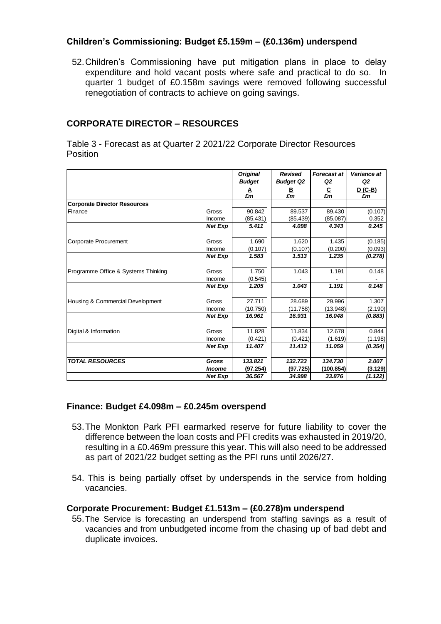## **Children's Commissioning: Budget £5.159m – (£0.136m) underspend**

52.Children's Commissioning have put mitigation plans in place to delay expenditure and hold vacant posts where safe and practical to do so. In quarter 1 budget of £0.158m savings were removed following successful renegotiation of contracts to achieve on going savings.

## **CORPORATE DIRECTOR – RESOURCES**

Table 3 - Forecast as at Quarter 2 2021/22 Corporate Director Resources Position

|                                     |                      | <b>Original</b><br><b>Budget</b> | <b>Revised</b><br><b>Budget Q2</b> | <b>Forecast at</b><br>Q2 | Variance at<br>Q <sub>2</sub> |
|-------------------------------------|----------------------|----------------------------------|------------------------------------|--------------------------|-------------------------------|
|                                     |                      | A<br>£m                          | B<br>£m                            | $\frac{C}{\pounds m}$    | <u>D (C-B)</u><br>£m          |
| <b>Corporate Director Resources</b> |                      |                                  |                                    |                          |                               |
| Finance                             | Gross                | 90.842                           | 89.537                             | 89.430                   | (0.107)                       |
|                                     | Income               | (85.431)                         | (85.439)                           | (85.087)                 | 0.352                         |
|                                     | <b>Net Exp</b>       | 5.411                            | 4.098                              | 4.343                    | 0.245                         |
| Corporate Procurement               | Gross                | 1.690                            | 1.620                              | 1.435                    | (0.185)                       |
|                                     | Income               | (0.107)                          | (0.107)                            | (0.200)                  | (0.093)                       |
|                                     | <b>Net Exp</b>       | 1.583                            | 1.513                              | 1.235                    | (0.278)                       |
| Programme Office & Systems Thinking | Gross                | 1.750                            | 1.043                              | 1.191                    | 0.148                         |
|                                     | Income               | (0.545)                          |                                    |                          |                               |
|                                     | <b>Net Exp</b>       | 1.205                            | 1.043                              | 1.191                    | 0.148                         |
| Housing & Commercial Development    | Gross                | 27.711                           | 28.689                             | 29.996                   | 1.307                         |
|                                     | Income               | (10.750)                         | (11.758)                           | (13.948)                 | (2.190)                       |
|                                     | <b>Net Exp</b>       | 16.961                           | 16.931                             | 16.048                   | (0.883)                       |
| Digital & Information               | Gross                | 11.828                           | 11.834                             | 12.678                   | 0.844                         |
|                                     | Income               | (0.421)                          | (0.421)                            | (1.619)                  | (1.198)                       |
|                                     | <b>Net Exp</b>       | 11.407                           | 11.413                             | 11.059                   | (0.354)                       |
| <b>TOTAL RESOURCES</b>              | Gross                | 133.821                          | 132.723                            | 134.730                  | 2.007                         |
|                                     | <i><b>Income</b></i> | (97.254)                         | (97.725)                           | (100.854)                | (3.129)                       |
|                                     | <b>Net Exp</b>       | 36.567                           | 34.998                             | 33.876                   | (1.122)                       |

#### **Finance: Budget £4.098m – £0.245m overspend**

- 53.The Monkton Park PFI earmarked reserve for future liability to cover the difference between the loan costs and PFI credits was exhausted in 2019/20, resulting in a £0.469m pressure this year. This will also need to be addressed as part of 2021/22 budget setting as the PFI runs until 2026/27.
- 54. This is being partially offset by underspends in the service from holding vacancies.

#### **Corporate Procurement: Budget £1.513m – (£0.278)m underspend**

55.The Service is forecasting an underspend from staffing savings as a result of vacancies and from unbudgeted income from the chasing up of bad debt and duplicate invoices.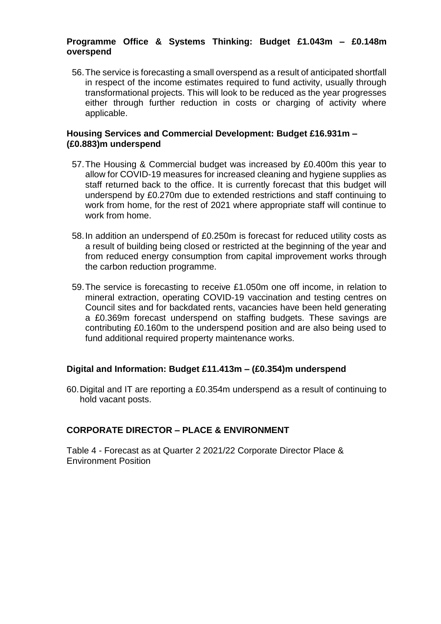## **Programme Office & Systems Thinking: Budget £1.043m – £0.148m overspend**

56.The service is forecasting a small overspend as a result of anticipated shortfall in respect of the income estimates required to fund activity, usually through transformational projects. This will look to be reduced as the year progresses either through further reduction in costs or charging of activity where applicable.

#### **Housing Services and Commercial Development: Budget £16.931m – (£0.883)m underspend**

- 57.The Housing & Commercial budget was increased by £0.400m this year to allow for COVID-19 measures for increased cleaning and hygiene supplies as staff returned back to the office. It is currently forecast that this budget will underspend by £0.270m due to extended restrictions and staff continuing to work from home, for the rest of 2021 where appropriate staff will continue to work from home.
- 58.In addition an underspend of £0.250m is forecast for reduced utility costs as a result of building being closed or restricted at the beginning of the year and from reduced energy consumption from capital improvement works through the carbon reduction programme.
- 59.The service is forecasting to receive £1.050m one off income, in relation to mineral extraction, operating COVID-19 vaccination and testing centres on Council sites and for backdated rents, vacancies have been held generating a £0.369m forecast underspend on staffing budgets. These savings are contributing £0.160m to the underspend position and are also being used to fund additional required property maintenance works.

#### **Digital and Information: Budget £11.413m – (£0.354)m underspend**

60.Digital and IT are reporting a £0.354m underspend as a result of continuing to hold vacant posts.

#### **CORPORATE DIRECTOR – PLACE & ENVIRONMENT**

Table 4 - Forecast as at Quarter 2 2021/22 Corporate Director Place & Environment Position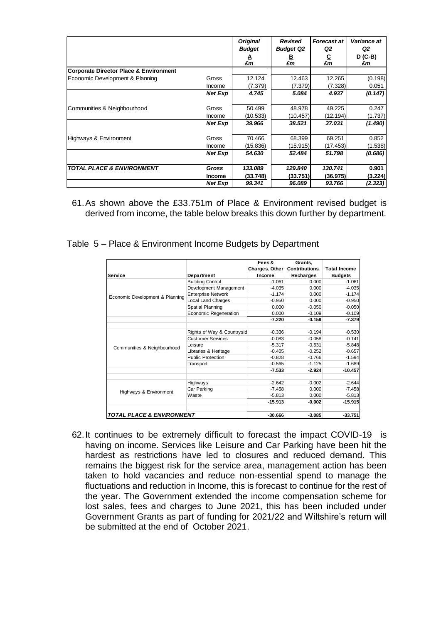|                                                   |               | <b>Original</b><br><b>Budget</b> | Revised<br><b>Budget Q2</b> | Forecast at<br>Q2 | <b>Variance at</b><br>Q2 |
|---------------------------------------------------|---------------|----------------------------------|-----------------------------|-------------------|--------------------------|
|                                                   |               | A<br>£m                          | B<br>£m                     | <u>c</u><br>£m    | $D$ (C-B)<br>£m          |
| <b>Corporate Director Place &amp; Environment</b> |               |                                  |                             |                   |                          |
| Economic Development & Planning                   | Gross         | 12.124                           | 12.463                      | 12.265            | (0.198)                  |
|                                                   | Income        | (7.379)                          | (7.379)                     | (7.328)           | 0.051                    |
|                                                   | Net Exp       | 4.745                            | 5.084                       | 4.937             | (0.147)                  |
| Communities & Neighbourhood                       | Gross         | 50.499                           | 48.978                      | 49.225            | 0.247                    |
|                                                   | Income        | (10.533)                         | (10.457)                    | (12.194)          | (1.737)                  |
|                                                   | Net Exp       | 39.966                           | 38.521                      | 37.031            | (1.490)                  |
| Highways & Environment                            | Gross         | 70.466                           | 68.399                      | 69.251            | 0.852                    |
|                                                   | Income        | (15.836)                         | (15.915)                    | (17.453)          | (1.538)                  |
|                                                   | Net Exp       | 54.630                           | 52.484                      | 51.798            | (0.686)                  |
| <b>TOTAL PLACE &amp; ENVIRONMENT</b>              | Gross         | 133.089                          | 129.840                     | 130.741           | 0.901                    |
|                                                   | <b>Income</b> | (33.748)                         | (33.751)                    | (36.975)          | (3.224)                  |
|                                                   | Net Exp       | 99.341                           | 96.089                      | 93.766            | (2.323)                  |

61.As shown above the £33.751m of Place & Environment revised budget is derived from income, the table below breaks this down further by department.

Table 5 – Place & Environment Income Budgets by Department

|                                      |                                                                                                                                                                                                                                                                                                                                                                                          | Fees &   | Grants.               |                     |
|--------------------------------------|------------------------------------------------------------------------------------------------------------------------------------------------------------------------------------------------------------------------------------------------------------------------------------------------------------------------------------------------------------------------------------------|----------|-----------------------|---------------------|
|                                      |                                                                                                                                                                                                                                                                                                                                                                                          |          | <b>Contributions,</b> | <b>Total Income</b> |
| <b>Service</b>                       | <b>Department</b>                                                                                                                                                                                                                                                                                                                                                                        | Income   | Recharges             | <b>Budgets</b>      |
|                                      | <b>Building Control</b>                                                                                                                                                                                                                                                                                                                                                                  | $-1.061$ | 0.000                 | $-1.061$            |
|                                      | Development Management                                                                                                                                                                                                                                                                                                                                                                   | $-4.035$ | 0.000                 | $-4.035$            |
| Economic Development & Planning      | <b>Enterprise Network</b>                                                                                                                                                                                                                                                                                                                                                                | $-1.174$ | 0.000                 | $-1.174$            |
|                                      | Local Land Charges                                                                                                                                                                                                                                                                                                                                                                       | $-0.950$ | 0.000                 | $-0.950$            |
|                                      | Spatial Planning                                                                                                                                                                                                                                                                                                                                                                         | 0.000    | $-0.050$              | $-0.050$            |
|                                      | Charges, Other<br>Economic Regeneration<br>0.000<br>$-7.220$<br>$-0.336$<br>Rights of Way & Countrysid<br><b>Customer Services</b><br>$-0.083$<br>$-5.317$<br>Leisure<br>Libraries & Heritage<br>$-0.405$<br><b>Public Protection</b><br>$-0.828$<br>$-0.565$<br>Transport<br>$-7.533$<br>Highways<br>$-2.642$<br>Car Parking<br>$-7.458$<br>Waste<br>$-5.813$<br>$-15.913$<br>$-30.666$ | $-0.109$ | $-0.109$              |                     |
|                                      |                                                                                                                                                                                                                                                                                                                                                                                          |          | $-0.159$              | $-7.379$            |
|                                      |                                                                                                                                                                                                                                                                                                                                                                                          |          |                       |                     |
|                                      |                                                                                                                                                                                                                                                                                                                                                                                          |          | $-0.194$              | $-0.530$            |
|                                      |                                                                                                                                                                                                                                                                                                                                                                                          |          | $-0.058$              | $-0.141$            |
|                                      |                                                                                                                                                                                                                                                                                                                                                                                          |          | $-0.531$              | $-5.848$            |
| Communities & Neighbourhood          |                                                                                                                                                                                                                                                                                                                                                                                          |          | $-0.252$              | $-0.657$            |
|                                      |                                                                                                                                                                                                                                                                                                                                                                                          |          | $-0.766$              | $-1.594$            |
|                                      |                                                                                                                                                                                                                                                                                                                                                                                          |          | $-1.125$              | $-1.689$            |
|                                      |                                                                                                                                                                                                                                                                                                                                                                                          |          | $-2.924$              | $-10.457$           |
|                                      |                                                                                                                                                                                                                                                                                                                                                                                          |          | $-0.002$              | $-2.644$            |
|                                      |                                                                                                                                                                                                                                                                                                                                                                                          |          | 0.000                 | $-7.458$            |
| Highways & Environment               |                                                                                                                                                                                                                                                                                                                                                                                          |          | 0.000<br>$-5.813$     |                     |
|                                      |                                                                                                                                                                                                                                                                                                                                                                                          |          | $-0.002$              | $-15.915$           |
| <b>TOTAL PLACE &amp; ENVIRONMENT</b> |                                                                                                                                                                                                                                                                                                                                                                                          |          | $-3.085$              | $-33.751$           |

62.It continues to be extremely difficult to forecast the impact COVID-19 is having on income. Services like Leisure and Car Parking have been hit the hardest as restrictions have led to closures and reduced demand. This remains the biggest risk for the service area, management action has been taken to hold vacancies and reduce non-essential spend to manage the fluctuations and reduction in Income, this is forecast to continue for the rest of the year. The Government extended the income compensation scheme for lost sales, fees and charges to June 2021, this has been included under Government Grants as part of funding for 2021/22 and Wiltshire's return will be submitted at the end of October 2021.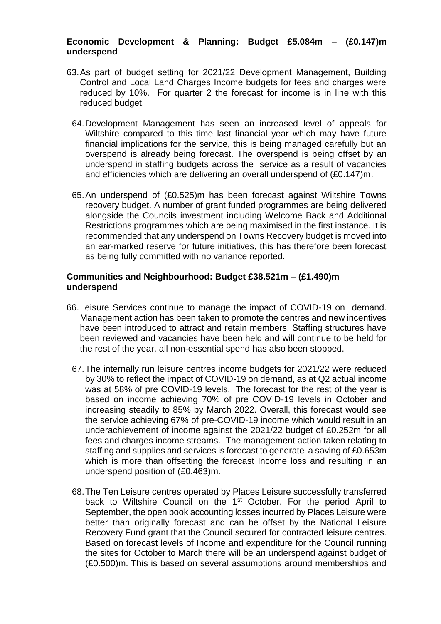## **Economic Development & Planning: Budget £5.084m – (£0.147)m underspend**

- 63.As part of budget setting for 2021/22 Development Management, Building Control and Local Land Charges Income budgets for fees and charges were reduced by 10%. For quarter 2 the forecast for income is in line with this reduced budget.
	- 64.Development Management has seen an increased level of appeals for Wiltshire compared to this time last financial year which may have future financial implications for the service, this is being managed carefully but an overspend is already being forecast. The overspend is being offset by an underspend in staffing budgets across the service as a result of vacancies and efficiencies which are delivering an overall underspend of (£0.147)m.
	- 65.An underspend of (£0.525)m has been forecast against Wiltshire Towns recovery budget. A number of grant funded programmes are being delivered alongside the Councils investment including Welcome Back and Additional Restrictions programmes which are being maximised in the first instance. It is recommended that any underspend on Towns Recovery budget is moved into an ear-marked reserve for future initiatives, this has therefore been forecast as being fully committed with no variance reported.

#### **Communities and Neighbourhood: Budget £38.521m – (£1.490)m underspend**

- 66.Leisure Services continue to manage the impact of COVID-19 on demand. Management action has been taken to promote the centres and new incentives have been introduced to attract and retain members. Staffing structures have been reviewed and vacancies have been held and will continue to be held for the rest of the year, all non-essential spend has also been stopped.
	- 67.The internally run leisure centres income budgets for 2021/22 were reduced by 30% to reflect the impact of COVID-19 on demand, as at Q2 actual income was at 58% of pre COVID-19 levels. The forecast for the rest of the year is based on income achieving 70% of pre COVID-19 levels in October and increasing steadily to 85% by March 2022. Overall, this forecast would see the service achieving 67% of pre-COVID-19 income which would result in an underachievement of income against the 2021/22 budget of £0.252m for all fees and charges income streams. The management action taken relating to staffing and supplies and services is forecast to generate a saving of £0.653m which is more than offsetting the forecast Income loss and resulting in an underspend position of (£0.463)m.
	- 68.The Ten Leisure centres operated by Places Leisure successfully transferred back to Wiltshire Council on the 1<sup>st</sup> October. For the period April to September, the open book accounting losses incurred by Places Leisure were better than originally forecast and can be offset by the National Leisure Recovery Fund grant that the Council secured for contracted leisure centres. Based on forecast levels of Income and expenditure for the Council running the sites for October to March there will be an underspend against budget of (£0.500)m. This is based on several assumptions around memberships and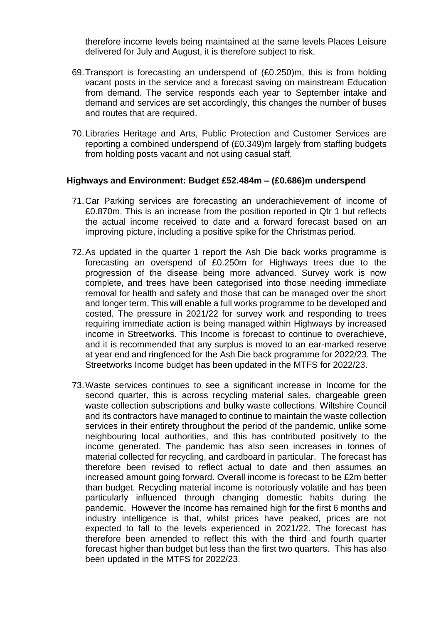therefore income levels being maintained at the same levels Places Leisure delivered for July and August, it is therefore subject to risk.

- 69.Transport is forecasting an underspend of (£0.250)m, this is from holding vacant posts in the service and a forecast saving on mainstream Education from demand. The service responds each year to September intake and demand and services are set accordingly, this changes the number of buses and routes that are required.
- 70.Libraries Heritage and Arts, Public Protection and Customer Services are reporting a combined underspend of (£0.349)m largely from staffing budgets from holding posts vacant and not using casual staff.

#### **Highways and Environment: Budget £52.484m – (£0.686)m underspend**

- 71.Car Parking services are forecasting an underachievement of income of £0.870m. This is an increase from the position reported in Qtr 1 but reflects the actual income received to date and a forward forecast based on an improving picture, including a positive spike for the Christmas period.
- 72.As updated in the quarter 1 report the Ash Die back works programme is forecasting an overspend of £0.250m for Highways trees due to the progression of the disease being more advanced. Survey work is now complete, and trees have been categorised into those needing immediate removal for health and safety and those that can be managed over the short and longer term. This will enable a full works programme to be developed and costed. The pressure in 2021/22 for survey work and responding to trees requiring immediate action is being managed within Highways by increased income in Streetworks. This Income is forecast to continue to overachieve, and it is recommended that any surplus is moved to an ear-marked reserve at year end and ringfenced for the Ash Die back programme for 2022/23. The Streetworks Income budget has been updated in the MTFS for 2022/23.
- 73.Waste services continues to see a significant increase in Income for the second quarter, this is across recycling material sales, chargeable green waste collection subscriptions and bulky waste collections. Wiltshire Council and its contractors have managed to continue to maintain the waste collection services in their entirety throughout the period of the pandemic, unlike some neighbouring local authorities, and this has contributed positively to the income generated. The pandemic has also seen increases in tonnes of material collected for recycling, and cardboard in particular. The forecast has therefore been revised to reflect actual to date and then assumes an increased amount going forward. Overall income is forecast to be £2m better than budget. Recycling material income is notoriously volatile and has been particularly influenced through changing domestic habits during the pandemic. However the Income has remained high for the first 6 months and industry intelligence is that, whilst prices have peaked, prices are not expected to fall to the levels experienced in 2021/22. The forecast has therefore been amended to reflect this with the third and fourth quarter forecast higher than budget but less than the first two quarters. This has also been updated in the MTFS for 2022/23.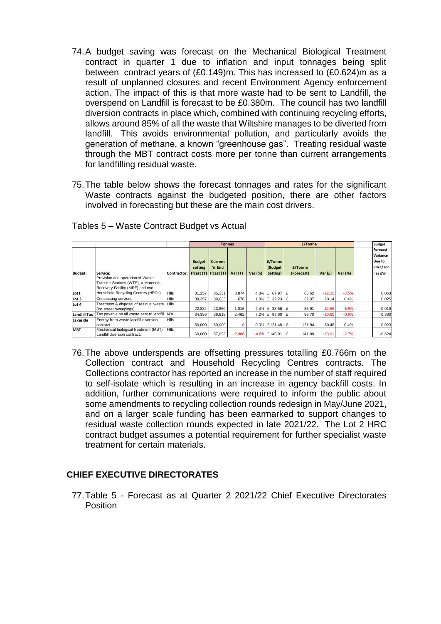- 74.A budget saving was forecast on the Mechanical Biological Treatment contract in quarter 1 due to inflation and input tonnages being split between contract years of (£0.149)m. This has increased to (£0.624)m as a result of unplanned closures and recent Environment Agency enforcement action. The impact of this is that more waste had to be sent to Landfill, the overspend on Landfill is forecast to be £0.380m. The council has two landfill diversion contracts in place which, combined with continuing recycling efforts, allows around 85% of all the waste that Wiltshire manages to be diverted from landfill. This avoids environmental pollution, and particularly avoids the generation of methane, a known "greenhouse gas". Treating residual waste through the MBT contract costs more per tonne than current arrangements for landfilling residual waste.
- 75.The table below shows the forecast tonnages and rates for the significant Waste contracts against the budgeted position, there are other factors involved in forecasting but these are the main cost drivers.

|                     |                                               |                                   |               | <b>Tonnes</b> |          |         | £/Tonne             |             |           |         | <b>Budget</b>   |
|---------------------|-----------------------------------------------|-----------------------------------|---------------|---------------|----------|---------|---------------------|-------------|-----------|---------|-----------------|
|                     |                                               |                                   |               |               |          |         |                     |             |           |         | <b>Forecast</b> |
|                     |                                               |                                   |               |               |          |         |                     |             |           |         | Variance        |
|                     |                                               |                                   | <b>Budget</b> | Current       |          |         | £/Tonne             |             |           |         | Due to          |
|                     |                                               |                                   | setting       | <b>Yr End</b> |          |         | (Budget             | £/Tonne     |           |         | Price/Ton       |
| <b>Budget:</b>      | Service:                                      | Contractor: F'cast (T) F'cast (T) |               |               | Var(T)   | Var (%) | Setting)            | (Forecast)  | Var $(f)$ | Var (%) | nes £'m         |
|                     | Provision and operation of Waste              |                                   |               |               |          |         |                     |             |           |         |                 |
|                     | Transfer Stations (WTS), a Materials          |                                   |               |               |          |         |                     |             |           |         |                 |
|                     | Recovery Facility (MRF) and two               |                                   |               |               |          |         |                     |             |           |         |                 |
| Lot1                | Household Recycling Centres (HRCs)            | <b>Hills</b>                      | 81.257        | 85.131        | 3.874    |         | 4.8% £ 67.97 £      | 65.62       | $-E2.35$  | $-3.5%$ | 0.063           |
| Lot 3               | Composting services                           | <b>Hills</b>                      | 38.357        | 39,033        | 676      |         | 1.8% £ 32.23        | £<br>32.37  | £0.14     | 0.4%    | 0.025           |
| Lot 4               | Treatment & disposal of residual waste Hills  |                                   |               |               |          |         |                     |             |           |         |                 |
|                     | (inc street sweepings)                        |                                   | 22,834        | 23,850        | 1.016    |         | 4.4% £ 38.56        | 35.91<br>£  | $-E2.65$  | $-6.9%$ | $-0.019$        |
| <b>Landfill Tax</b> | Tax payable on all waste sent to landfill N/A |                                   | 34,356        | 36,818        | 2.462    |         | 7.2% £ 97.60        | 96.70<br>Ι£ | $-£0.90$  | $-0.9%$ | 0.380           |
| Lakeside            | Energy from waste landfill diversion          | <b>Hills</b>                      |               |               |          |         |                     |             |           |         |                 |
|                     | contract.                                     |                                   | 50,000        | 50,000        | $-0$     |         | $0.0\%$ £121.48   £ | 121.94      | £0.46     | 0.4%    | 0.023           |
| <b>MBT</b>          | Mechanical biological treatment (MBT)         | <b>Hills</b>                      |               |               |          |         |                     |             |           |         |                 |
|                     | Landfill diversion contract.                  |                                   | 60,000        | 57,092        | $-2,908$ |         | $-4.8\%$ £145.91    | 141.99<br>£ | $-£3.91$  | $-2.7%$ | $-0.624$        |

Tables 5 – Waste Contract Budget vs Actual

76.The above underspends are offsetting pressures totalling £0.766m on the Collection contract and Household Recycling Centres contracts. The Collections contractor has reported an increase in the number of staff required to self-isolate which is resulting in an increase in agency backfill costs. In addition, further communications were required to inform the public about some amendments to recycling collection rounds redesign in May/June 2021, and on a larger scale funding has been earmarked to support changes to residual waste collection rounds expected in late 2021/22. The Lot 2 HRC contract budget assumes a potential requirement for further specialist waste treatment for certain materials.

## **CHIEF EXECUTIVE DIRECTORATES**

77.Table 5 - Forecast as at Quarter 2 2021/22 Chief Executive Directorates Position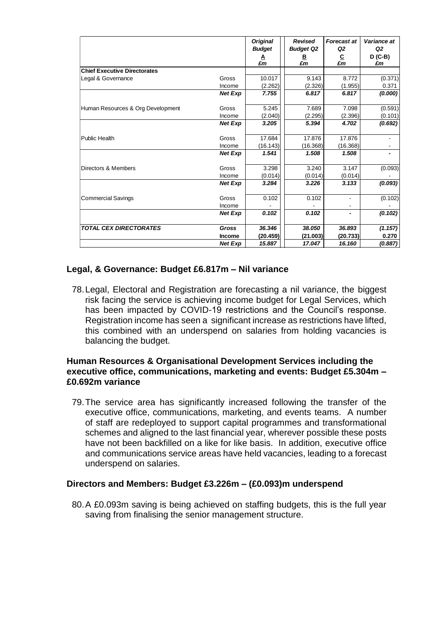|                                     |                | <b>Original</b><br><b>Budget</b> | <b>Revised</b><br><b>Budget Q2</b> | <b>Forecast at</b><br>Q2         | Variance at<br>Q <sub>2</sub> |
|-------------------------------------|----------------|----------------------------------|------------------------------------|----------------------------------|-------------------------------|
|                                     |                | A<br>£m                          | B.<br>£m                           | $\frac{\mathsf{C}}{\mathsf{E}m}$ | $D$ (C-B)<br>£m               |
| <b>Chief Executive Directorates</b> |                |                                  |                                    |                                  |                               |
| Legal & Governance                  | Gross          | 10.017                           | 9.143                              | 8.772                            | (0.371)                       |
|                                     | Income         | (2.262)                          | (2.326)                            | (1.955)                          | 0.371                         |
|                                     | <b>Net Exp</b> | 7.755                            | 6.817                              | 6.817                            | (0.000)                       |
| Human Resources & Org Development   | Gross          | 5.245                            | 7.689                              | 7.098                            | (0.591)                       |
|                                     | Income         | (2.040)                          | (2.295)                            | (2.396)                          | (0.101)                       |
|                                     | <b>Net Exp</b> | 3.205                            | 5.394                              | 4.702                            | (0.692)                       |
| Public Health                       | Gross          | 17.684                           | 17.876                             | 17.876                           |                               |
|                                     | Income         | (16.143)                         | (16.368)                           | (16.368)                         |                               |
|                                     | <b>Net Exp</b> | 1.541                            | 1.508                              | 1.508                            |                               |
| Directors & Members                 | Gross          | 3.298                            | 3.240                              | 3.147                            | (0.093)                       |
|                                     | Income         | (0.014)                          | (0.014)                            | (0.014)                          |                               |
|                                     | <b>Net Exp</b> | 3.284                            | 3.226                              | 3.133                            | (0.093)                       |
| <b>Commercial Savings</b>           | Gross          | 0.102                            | 0.102                              |                                  | (0.102)                       |
|                                     | Income         |                                  |                                    |                                  |                               |
|                                     | <b>Net Exp</b> | 0.102                            | 0.102                              | $\blacksquare$                   | (0.102)                       |
| <b>TOTAL CEX DIRECTORATES</b>       | <b>Gross</b>   | 36.346                           | 38.050                             | 36.893                           | (1.157)                       |
|                                     | Income         | (20.459)                         | (21.003)                           | (20.733)                         | 0.270                         |
|                                     | <b>Net Exp</b> | 15.887                           | 17.047                             | 16.160                           | (0.887)                       |

#### **Legal, & Governance: Budget £6.817m – Nil variance**

78.Legal, Electoral and Registration are forecasting a nil variance, the biggest risk facing the service is achieving income budget for Legal Services, which has been impacted by COVID-19 restrictions and the Council's response. Registration income has seen a significant increase as restrictions have lifted, this combined with an underspend on salaries from holding vacancies is balancing the budget.

#### **Human Resources & Organisational Development Services including the executive office, communications, marketing and events: Budget £5.304m – £0.692m variance**

79.The service area has significantly increased following the transfer of the executive office, communications, marketing, and events teams. A number of staff are redeployed to support capital programmes and transformational schemes and aligned to the last financial year, wherever possible these posts have not been backfilled on a like for like basis. In addition, executive office and communications service areas have held vacancies, leading to a forecast underspend on salaries.

#### **Directors and Members: Budget £3.226m – (£0.093)m underspend**

80.A £0.093m saving is being achieved on staffing budgets, this is the full year saving from finalising the senior management structure.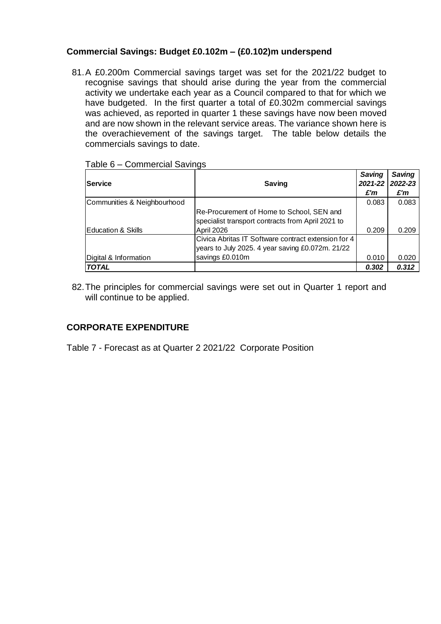## **Commercial Savings: Budget £0.102m – (£0.102)m underspend**

81.A £0.200m Commercial savings target was set for the 2021/22 budget to recognise savings that should arise during the year from the commercial activity we undertake each year as a Council compared to that for which we have budgeted. In the first quarter a total of £0.302m commercial savings was achieved, as reported in quarter 1 these savings have now been moved and are now shown in the relevant service areas. The variance shown here is the overachievement of the savings target. The table below details the commercials savings to date.

| Table 6 – Commercial Savings |  |
|------------------------------|--|
|------------------------------|--|

| <b>Service</b>              | <b>Saving</b>                                       | Saving<br>2021-22   2022-23 | Saving |
|-----------------------------|-----------------------------------------------------|-----------------------------|--------|
|                             |                                                     | £'m                         | £'m    |
| Communities & Neighbourhood |                                                     | 0.083                       | 0.083  |
|                             | Re-Procurement of Home to School, SEN and           |                             |        |
|                             | specialist transport contracts from April 2021 to   |                             |        |
| Education & Skills          | April 2026                                          | 0.209                       | 0.209  |
|                             | Civica Abritas IT Software contract extension for 4 |                             |        |
|                             | years to July 2025. 4 year saving £0.072m. 21/22    |                             |        |
| Digital & Information       | savings £0.010m                                     | 0.010                       | 0.020  |
| <b>TOTAL</b>                |                                                     | 0.302                       | 0.312  |

82.The principles for commercial savings were set out in Quarter 1 report and will continue to be applied.

## **CORPORATE EXPENDITURE**

Table 7 - Forecast as at Quarter 2 2021/22 Corporate Position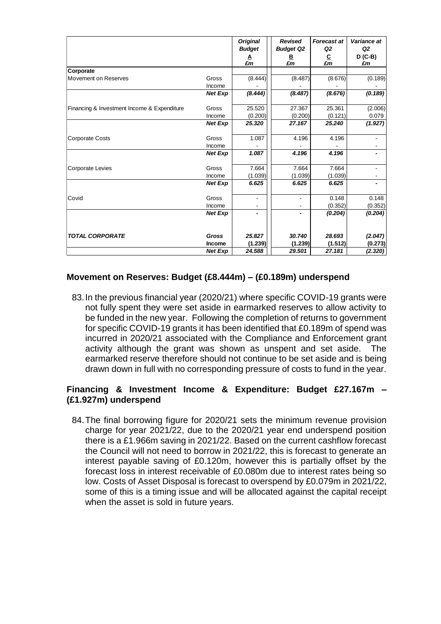|                                             |                 | <b>Original</b><br><b>Budget</b> | <b>Revised</b><br><b>Budget Q2</b> | <b>Forecast at</b><br>Q2 | Variance at<br>Q <sub>2</sub> |
|---------------------------------------------|-----------------|----------------------------------|------------------------------------|--------------------------|-------------------------------|
|                                             |                 | ≜<br>£m                          | ₿<br>£m                            | $\frac{C}{\pounds m}$    | D (C-B)<br>£m                 |
| Corporate                                   |                 |                                  |                                    |                          |                               |
| Movement on Reserves                        | Gross<br>Income | (8.444)                          | (8.487)                            | (8.676)                  | (0.189)                       |
|                                             | <b>Net Exp</b>  | (8.444)                          | (8.487)                            | (8.676)                  | (0.189)                       |
| Financing & Investment Income & Expenditure | Gross           | 25.520                           | 27.367                             | 25.361                   | (2.006)                       |
|                                             | Income          | (0.200)                          | (0.200)                            | (0.121)                  | 0.079                         |
|                                             | <b>Net Exp</b>  | 25.320                           | 27.167                             | 25.240                   | (1.927)                       |
| <b>Corporate Costs</b>                      | Gross<br>Income | 1.087                            | 4.196                              | 4.196                    |                               |
|                                             | Net Exp         | 1.087                            | 4.196                              | 4.196                    |                               |
| <b>Corporate Levies</b>                     | Gross           | 7.664                            | 7.664                              | 7.664                    |                               |
|                                             | Income          | (1.039)                          | (1.039)                            | (1.039)                  |                               |
|                                             | <b>Net Exp</b>  | 6.625                            | 6.625                              | 6.625                    |                               |
| Covid                                       | Gross           |                                  |                                    | 0.148                    | 0.148                         |
|                                             | Income          |                                  |                                    | (0.352)                  | (0.352)                       |
|                                             | <b>Net Exp</b>  |                                  |                                    | (0.204)                  | (0.204)                       |
| <b>TOTAL CORPORATE</b>                      | Gross           | 25.827                           | 30.740                             | 28.693                   | (2.047)                       |
|                                             | Income          | (1.239)                          | (1.239)                            | (1.512)                  | (0.273)                       |
|                                             | <b>Net Exp</b>  | 24.588                           | 29.501                             | 27.181                   | (2.320)                       |

#### **Movement on Reserves: Budget (£8.444m) – (£0.189m) underspend**

83.In the previous financial year (2020/21) where specific COVID-19 grants were not fully spent they were set aside in earmarked reserves to allow activity to be funded in the new year. Following the completion of returns to government for specific COVID-19 grants it has been identified that £0.189m of spend was incurred in 2020/21 associated with the Compliance and Enforcement grant activity although the grant was shown as unspent and set aside. The earmarked reserve therefore should not continue to be set aside and is being drawn down in full with no corresponding pressure of costs to fund in the year.

## **Financing & Investment Income & Expenditure: Budget £27.167m – (£1.927m) underspend**

84.The final borrowing figure for 2020/21 sets the minimum revenue provision charge for year 2021/22, due to the 2020/21 year end underspend position there is a £1.966m saving in 2021/22. Based on the current cashflow forecast the Council will not need to borrow in 2021/22, this is forecast to generate an interest payable saving of £0.120m, however this is partially offset by the forecast loss in interest receivable of £0.080m due to interest rates being so low. Costs of Asset Disposal is forecast to overspend by £0.079m in 2021/22, some of this is a timing issue and will be allocated against the capital receipt when the asset is sold in future years.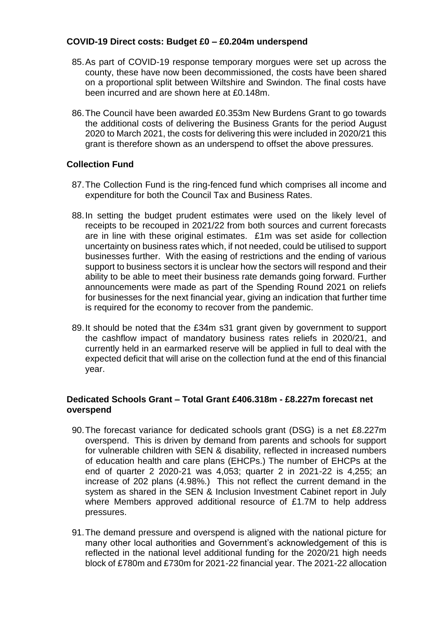## **COVID-19 Direct costs: Budget £0 – £0.204m underspend**

- 85.As part of COVID-19 response temporary morgues were set up across the county, these have now been decommissioned, the costs have been shared on a proportional split between Wiltshire and Swindon. The final costs have been incurred and are shown here at £0.148m.
- 86.The Council have been awarded £0.353m New Burdens Grant to go towards the additional costs of delivering the Business Grants for the period August 2020 to March 2021, the costs for delivering this were included in 2020/21 this grant is therefore shown as an underspend to offset the above pressures.

## **Collection Fund**

- 87.The Collection Fund is the ring-fenced fund which comprises all income and expenditure for both the Council Tax and Business Rates.
- 88.In setting the budget prudent estimates were used on the likely level of receipts to be recouped in 2021/22 from both sources and current forecasts are in line with these original estimates. £1m was set aside for collection uncertainty on business rates which, if not needed, could be utilised to support businesses further. With the easing of restrictions and the ending of various support to business sectors it is unclear how the sectors will respond and their ability to be able to meet their business rate demands going forward. Further announcements were made as part of the Spending Round 2021 on reliefs for businesses for the next financial year, giving an indication that further time is required for the economy to recover from the pandemic.
- 89.It should be noted that the £34m s31 grant given by government to support the cashflow impact of mandatory business rates reliefs in 2020/21, and currently held in an earmarked reserve will be applied in full to deal with the expected deficit that will arise on the collection fund at the end of this financial year.

#### **Dedicated Schools Grant – Total Grant £406.318m - £8.227m forecast net overspend**

- 90.The forecast variance for dedicated schools grant (DSG) is a net £8.227m overspend. This is driven by demand from parents and schools for support for vulnerable children with SEN & disability, reflected in increased numbers of education health and care plans (EHCPs.) The number of EHCPs at the end of quarter 2 2020-21 was 4,053; quarter 2 in 2021-22 is 4,255; an increase of 202 plans (4.98%.) This not reflect the current demand in the system as shared in the SEN & Inclusion Investment Cabinet report in July where Members approved additional resource of £1.7M to help address pressures.
- 91.The demand pressure and overspend is aligned with the national picture for many other local authorities and Government's acknowledgement of this is reflected in the national level additional funding for the 2020/21 high needs block of £780m and £730m for 2021-22 financial year. The 2021-22 allocation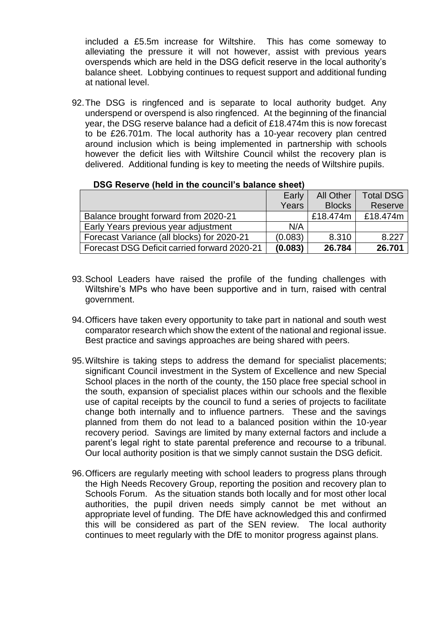included a £5.5m increase for Wiltshire. This has come someway to alleviating the pressure it will not however, assist with previous years overspends which are held in the DSG deficit reserve in the local authority's balance sheet. Lobbying continues to request support and additional funding at national level.

92.The DSG is ringfenced and is separate to local authority budget. Any underspend or overspend is also ringfenced. At the beginning of the financial year, the DSG reserve balance had a deficit of £18.474m this is now forecast to be £26.701m. The local authority has a 10-year recovery plan centred around inclusion which is being implemented in partnership with schools however the deficit lies with Wiltshire Council whilst the recovery plan is delivered. Additional funding is key to meeting the needs of Wiltshire pupils.

|                                              | Early   | <b>All Other</b> | <b>Total DSG</b> |
|----------------------------------------------|---------|------------------|------------------|
|                                              | Years   | <b>Blocks</b>    | Reserve          |
| Balance brought forward from 2020-21         |         | £18.474m         | £18.474m         |
| Early Years previous year adjustment         | N/A     |                  |                  |
| Forecast Variance (all blocks) for 2020-21   | (0.083) | 8.310            | 8.227            |
| Forecast DSG Deficit carried forward 2020-21 | (0.083) | 26.784           | 26.701           |

#### **DSG Reserve (held in the council's balance sheet)**

- 93.School Leaders have raised the profile of the funding challenges with Wiltshire's MPs who have been supportive and in turn, raised with central government.
- 94.Officers have taken every opportunity to take part in national and south west comparator research which show the extent of the national and regional issue. Best practice and savings approaches are being shared with peers.
- 95.Wiltshire is taking steps to address the demand for specialist placements; significant Council investment in the System of Excellence and new Special School places in the north of the county, the 150 place free special school in the south, expansion of specialist places within our schools and the flexible use of capital receipts by the council to fund a series of projects to facilitate change both internally and to influence partners. These and the savings planned from them do not lead to a balanced position within the 10-year recovery period. Savings are limited by many external factors and include a parent's legal right to state parental preference and recourse to a tribunal. Our local authority position is that we simply cannot sustain the DSG deficit.
- 96.Officers are regularly meeting with school leaders to progress plans through the High Needs Recovery Group, reporting the position and recovery plan to Schools Forum. As the situation stands both locally and for most other local authorities, the pupil driven needs simply cannot be met without an appropriate level of funding. The DfE have acknowledged this and confirmed this will be considered as part of the SEN review. The local authority continues to meet regularly with the DfE to monitor progress against plans.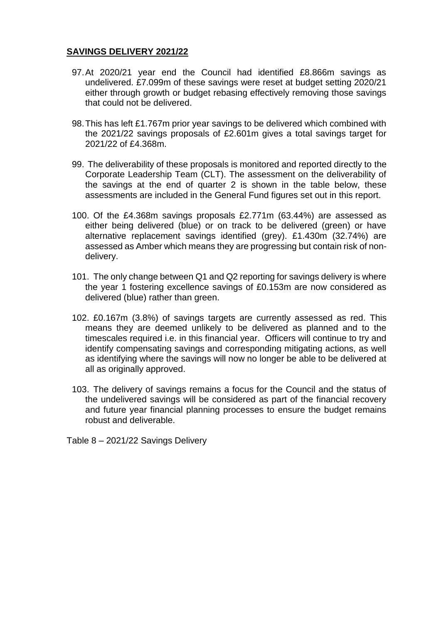## **SAVINGS DELIVERY 2021/22**

- 97.At 2020/21 year end the Council had identified £8.866m savings as undelivered. £7.099m of these savings were reset at budget setting 2020/21 either through growth or budget rebasing effectively removing those savings that could not be delivered.
- 98.This has left £1.767m prior year savings to be delivered which combined with the 2021/22 savings proposals of £2.601m gives a total savings target for 2021/22 of £4.368m.
- 99. The deliverability of these proposals is monitored and reported directly to the Corporate Leadership Team (CLT). The assessment on the deliverability of the savings at the end of quarter 2 is shown in the table below, these assessments are included in the General Fund figures set out in this report.
- 100. Of the £4.368m savings proposals £2.771m (63.44%) are assessed as either being delivered (blue) or on track to be delivered (green) or have alternative replacement savings identified (grey). £1.430m (32.74%) are assessed as Amber which means they are progressing but contain risk of nondelivery.
- 101. The only change between Q1 and Q2 reporting for savings delivery is where the year 1 fostering excellence savings of £0.153m are now considered as delivered (blue) rather than green.
- 102. £0.167m (3.8%) of savings targets are currently assessed as red. This means they are deemed unlikely to be delivered as planned and to the timescales required i.e. in this financial year. Officers will continue to try and identify compensating savings and corresponding mitigating actions, as well as identifying where the savings will now no longer be able to be delivered at all as originally approved.
- 103. The delivery of savings remains a focus for the Council and the status of the undelivered savings will be considered as part of the financial recovery and future year financial planning processes to ensure the budget remains robust and deliverable.

Table 8 – 2021/22 Savings Delivery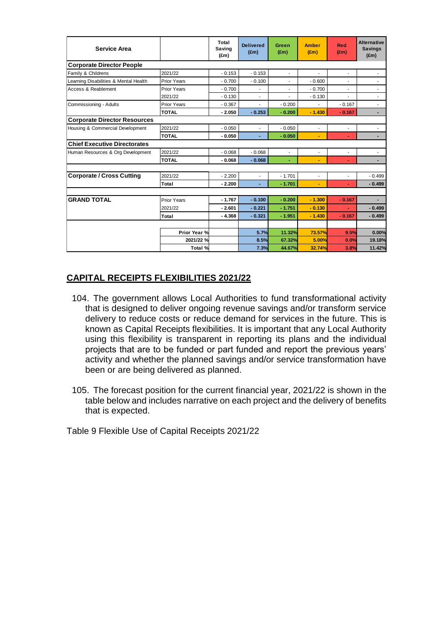| <b>Service Area</b>                   |                    | Total<br>Saving<br>$(\text{Em})$ | <b>Delivered</b><br>$(\text{Em})$ | Green<br>(f.m)           | <b>Amber</b><br>$(\text{Em})$ | <b>Red</b><br>(Em)       | <b>Alternative</b><br><b>Savings</b><br>(f.m) |
|---------------------------------------|--------------------|----------------------------------|-----------------------------------|--------------------------|-------------------------------|--------------------------|-----------------------------------------------|
| <b>Corporate Director People</b>      |                    |                                  |                                   |                          |                               |                          |                                               |
| Family & Childrens                    | 2021/22            | $-0.153$                         | $-0.153$                          | $\overline{\phantom{a}}$ |                               |                          | ٠                                             |
| Learning Disabilities & Mental Health | <b>Prior Years</b> | $-0.700$                         | $-0.100$                          | ٠                        | $-0.600$                      |                          |                                               |
| Access & Reablement                   | Prior Years        | $-0.700$                         | $\overline{\phantom{a}}$          | ٠                        | $-0.700$                      | ٠                        | ٠                                             |
|                                       | 2021/22            | $-0.130$                         | ä,                                |                          | $-0.130$                      |                          | ٠                                             |
| Commissioning - Adults                | <b>Prior Years</b> | $-0.367$                         | ä,                                | $-0.200$                 |                               | $-0.167$                 | $\overline{\phantom{a}}$                      |
|                                       | <b>TOTAL</b>       | $-2.050$                         | $-0.253$                          | $-0.200$                 | $-1.430$                      | $-0.167$                 | $\blacksquare$                                |
| <b>Corporate Director Resources</b>   |                    |                                  |                                   |                          |                               |                          |                                               |
| Housing & Commercial Development      | 2021/22            | $-0.050$                         | ä,                                | $-0.050$                 |                               | $\overline{\phantom{a}}$ | $\overline{\phantom{a}}$                      |
|                                       | <b>TOTAL</b>       | $-0.050$                         | ÷                                 | $-0.050$                 | $\blacksquare$                | ÷                        |                                               |
| <b>Chief Executive Directorates</b>   |                    |                                  |                                   |                          |                               |                          |                                               |
| Human Resources & Org Development     | 2021/22            | $-0.068$                         | $-0.068$                          | $\overline{\phantom{a}}$ | $\blacksquare$                | $\blacksquare$           | $\overline{\phantom{a}}$                      |
|                                       | <b>TOTAL</b>       | $-0.068$                         | $-0.068$                          | ÷.                       |                               | ٠                        | $\blacksquare$                                |
|                                       |                    |                                  |                                   |                          |                               |                          |                                               |
| <b>Corporate / Cross Cutting</b>      | 2021/22            | $-2.200$                         | ä,                                | $-1.701$                 | $\mathcal{L}$                 | $\overline{\phantom{a}}$ | $-0.499$                                      |
|                                       | Total              | $-2.200$                         | ä,                                | $-1.701$                 | $\blacksquare$                | ÷.                       | $-0.499$                                      |
|                                       |                    |                                  |                                   |                          |                               |                          |                                               |
| <b>GRAND TOTAL</b>                    | <b>Prior Years</b> | $-1.767$                         | $-0.100$                          | $-0.200$                 | $-1.300$                      | $-0.167$                 |                                               |
|                                       | 2021/22            | $-2.601$                         | $-0.221$                          | $-1.751$                 | $-0.130$                      | $\sim$                   | $-0.499$                                      |
|                                       | Total              | $-4.368$                         | $-0.321$                          | $-1.951$                 | $-1.430$                      | $-0.167$                 | $-0.499$                                      |
|                                       |                    |                                  |                                   |                          |                               |                          |                                               |
|                                       | Prior Year %       |                                  | 5.7%                              | 11.32%                   | 73.57%                        | 9.5%                     | 0.00%                                         |
|                                       | 2021/22 %          |                                  | 8.5%                              | 67.32%                   | 5.00%                         | 0.0%                     | 19.18%                                        |
|                                       | Total %            |                                  | 7.3%                              | 44.67%                   | 32.74%                        | 3.8%                     | 11.42%                                        |

## **CAPITAL RECEIPTS FLEXIBILITIES 2021/22**

- 104. The government allows Local Authorities to fund transformational activity that is designed to deliver ongoing revenue savings and/or transform service delivery to reduce costs or reduce demand for services in the future. This is known as Capital Receipts flexibilities. It is important that any Local Authority using this flexibility is transparent in reporting its plans and the individual projects that are to be funded or part funded and report the previous years' activity and whether the planned savings and/or service transformation have been or are being delivered as planned.
- 105. The forecast position for the current financial year, 2021/22 is shown in the table below and includes narrative on each project and the delivery of benefits that is expected.

Table 9 Flexible Use of Capital Receipts 2021/22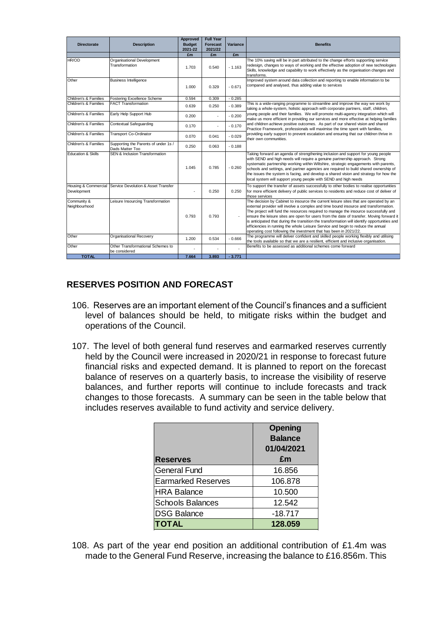| <b>Directorate</b>                  | <b>Description</b>                                      | <b>Approved</b><br><b>Budget</b><br>2021-22 | <b>Full Year</b><br><b>Forecast</b><br>2021/22 | Variance | <b>Benefits</b>                                                                                                                                                                                                                                                                                                                                                                                                                                                                                                                                                                                                            |
|-------------------------------------|---------------------------------------------------------|---------------------------------------------|------------------------------------------------|----------|----------------------------------------------------------------------------------------------------------------------------------------------------------------------------------------------------------------------------------------------------------------------------------------------------------------------------------------------------------------------------------------------------------------------------------------------------------------------------------------------------------------------------------------------------------------------------------------------------------------------------|
|                                     |                                                         | £m                                          | £m                                             | £m       |                                                                                                                                                                                                                                                                                                                                                                                                                                                                                                                                                                                                                            |
| HR/OD                               | Organisational Development<br>Transformation            | 1.703                                       | 0.540                                          | $-1.163$ | The 10% saving will be in part attributed to the change efforts supporting service<br>redesign, changes to ways of working and the effective adoption of new technologies<br>Skills, knowledge and capability to work effectively as the organisation changes and<br>transforms.                                                                                                                                                                                                                                                                                                                                           |
| Other                               | <b>Business Intelligence</b>                            | 1.000                                       | 0.329                                          | $-0.671$ | Improved system around data collection and reporting to enable information to be<br>compared and analysed, thus adding value to services                                                                                                                                                                                                                                                                                                                                                                                                                                                                                   |
| Children's & Families               | Fostering Excellence Scheme                             | 0.594                                       | 0.309                                          | $-0.285$ |                                                                                                                                                                                                                                                                                                                                                                                                                                                                                                                                                                                                                            |
| Children's & Families               | <b>FACT Transformation</b>                              | 0.639                                       | 0.250                                          | $-0.389$ | This is a wide-ranging programme to streamline and improve the way we work by<br>taking a whole-system, holistic approach with corporate partners, staff, children,                                                                                                                                                                                                                                                                                                                                                                                                                                                        |
| Children's & Families               | Early Help Support Hub                                  | 0.200                                       |                                                | $-0.200$ | young people and their families. We will promote multi-agency integration which will<br>make us more efficient in providing our services and more effective at helping families                                                                                                                                                                                                                                                                                                                                                                                                                                            |
| Children's & Families               | Contextual Safeguarding                                 | 0.170                                       |                                                | $-0.170$ | and children achieve positive outcomes. As part of our shared vision and shared<br>Practice Framework, professionals will maximise the time spent with families,                                                                                                                                                                                                                                                                                                                                                                                                                                                           |
| Children's & Families               | <b>Transport Co-Ordinator</b>                           | 0.070                                       | 0.041                                          | $-0.029$ | providing early support to prevent escalation and ensuring that our children thrive in<br>their own communities.                                                                                                                                                                                                                                                                                                                                                                                                                                                                                                           |
| Children's & Families               | Supporting the Parents of under 1s /<br>Dads Matter Too | 0.250                                       | 0.063                                          | $-0.188$ |                                                                                                                                                                                                                                                                                                                                                                                                                                                                                                                                                                                                                            |
| <b>Education &amp; Skills</b>       | <b>SEN &amp; Inclusion Transformation</b>               | 1.045                                       | 0.785                                          | $-0.260$ | Taking forward an agenda of strengthening inclusion and support for young people<br>with SEND and high needs will require a genuine partnership approach. Strong<br>systematic partnership working within Wiltshire, strategic engagements with parents,<br>schools and settings, and partner agencies are required to build shared ownership of<br>the issues the system is facing, and develop a shared vision and strategy for how the<br>local system will support young people with SEND and high needs                                                                                                               |
| Housing & Commercial<br>Development | Service Devolution & Asset Transfer                     |                                             | 0.250                                          | 0.250    | To support the transfer of assets successfully to other bodies to realise opportunities<br>for more efficient delivery of public services to residents and reduce cost of deliver of<br>those services                                                                                                                                                                                                                                                                                                                                                                                                                     |
| Community &<br>Neighbourhood        | Leisure Insourcing Transformation                       | 0.793                                       | 0.793                                          |          | The decision by Cabinet to insource the current leisure sites that are operated by an<br>external provider will involve a complex and time bound insource and transformation.<br>The project will fund the resources required to manage the insource successfully and<br>ensure the leisure sites are open for users from the date of transfer. Moving forward it<br>is anticipated that during the transition the transformation will identify opportunities and<br>efficiencies in running the whole Leisure Service and begin to reduce the annual<br>operating cost following the investment that has been in 2021/22. |
| Other                               | Organisational Recovery                                 | 1.200                                       | 0.534                                          | $-0.666$ | The programme will deliver confident and skilled people working flexibly and utilising<br>the tools available so that we are a resilient, efficient and inclusive organisation.                                                                                                                                                                                                                                                                                                                                                                                                                                            |
| Other                               | Other Transformational Schemes to<br>be considered      |                                             |                                                |          | Benefits to be assessed as additional schemes come forward                                                                                                                                                                                                                                                                                                                                                                                                                                                                                                                                                                 |
| <b>TOTAL</b>                        |                                                         | 7.664                                       | 3.893                                          | $-3.771$ |                                                                                                                                                                                                                                                                                                                                                                                                                                                                                                                                                                                                                            |

## **RESERVES POSITION AND FORECAST**

- 106. Reserves are an important element of the Council's finances and a sufficient level of balances should be held, to mitigate risks within the budget and operations of the Council.
- 107. The level of both general fund reserves and earmarked reserves currently held by the Council were increased in 2020/21 in response to forecast future financial risks and expected demand. It is planned to report on the forecast balance of reserves on a quarterly basis, to increase the visibility of reserve balances, and further reports will continue to include forecasts and track changes to those forecasts. A summary can be seen in the table below that includes reserves available to fund activity and service delivery.

| <b>Reserves</b>           | <b>Opening</b><br><b>Balance</b><br>01/04/2021<br>£m |
|---------------------------|------------------------------------------------------|
| <b>General Fund</b>       | 16.856                                               |
| <b>Earmarked Reserves</b> | 106.878                                              |
| <b>HRA Balance</b>        | 10.500                                               |
| <b>Schools Balances</b>   | 12.542                                               |
| <b>DSG Balance</b>        | $-18.717$                                            |
| <b>ITOTAL</b>             | 128.059                                              |

108. As part of the year end position an additional contribution of £1.4m was made to the General Fund Reserve, increasing the balance to £16.856m. This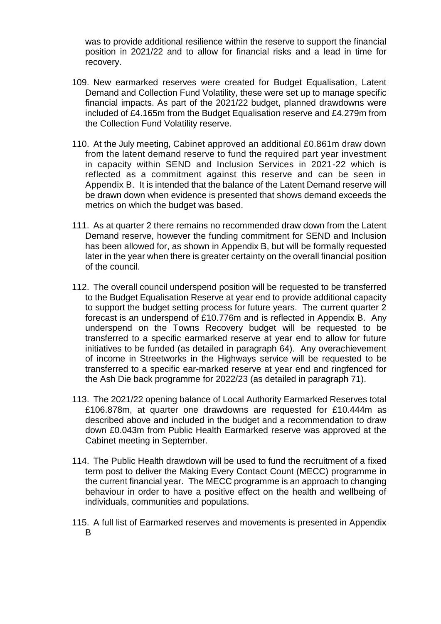was to provide additional resilience within the reserve to support the financial position in 2021/22 and to allow for financial risks and a lead in time for recovery.

- 109. New earmarked reserves were created for Budget Equalisation, Latent Demand and Collection Fund Volatility, these were set up to manage specific financial impacts. As part of the 2021/22 budget, planned drawdowns were included of £4.165m from the Budget Equalisation reserve and £4.279m from the Collection Fund Volatility reserve.
- 110. At the July meeting, Cabinet approved an additional £0.861m draw down from the latent demand reserve to fund the required part year investment in capacity within SEND and Inclusion Services in 2021-22 which is reflected as a commitment against this reserve and can be seen in Appendix B. It is intended that the balance of the Latent Demand reserve will be drawn down when evidence is presented that shows demand exceeds the metrics on which the budget was based.
- 111. As at quarter 2 there remains no recommended draw down from the Latent Demand reserve, however the funding commitment for SEND and Inclusion has been allowed for, as shown in Appendix B, but will be formally requested later in the year when there is greater certainty on the overall financial position of the council.
- 112. The overall council underspend position will be requested to be transferred to the Budget Equalisation Reserve at year end to provide additional capacity to support the budget setting process for future years. The current quarter 2 forecast is an underspend of £10.776m and is reflected in Appendix B. Any underspend on the Towns Recovery budget will be requested to be transferred to a specific earmarked reserve at year end to allow for future initiatives to be funded (as detailed in paragraph 64). Any overachievement of income in Streetworks in the Highways service will be requested to be transferred to a specific ear-marked reserve at year end and ringfenced for the Ash Die back programme for 2022/23 (as detailed in paragraph 71).
- 113. The 2021/22 opening balance of Local Authority Earmarked Reserves total £106.878m, at quarter one drawdowns are requested for £10.444m as described above and included in the budget and a recommendation to draw down £0.043m from Public Health Earmarked reserve was approved at the Cabinet meeting in September.
- 114. The Public Health drawdown will be used to fund the recruitment of a fixed term post to deliver the Making Every Contact Count (MECC) programme in the current financial year. The MECC programme is an approach to changing behaviour in order to have a positive effect on the health and wellbeing of individuals, communities and populations.
- 115. A full list of Earmarked reserves and movements is presented in Appendix B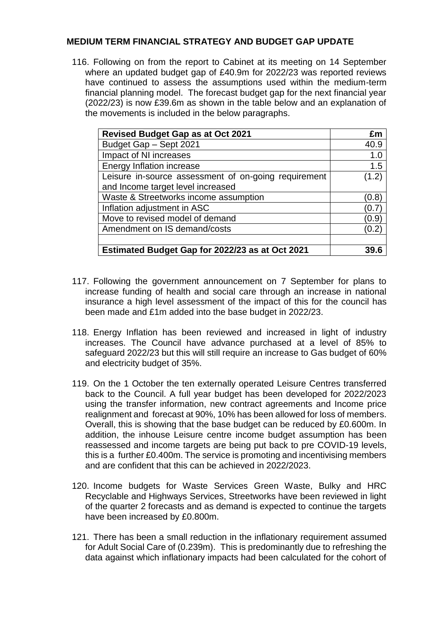## **MEDIUM TERM FINANCIAL STRATEGY AND BUDGET GAP UPDATE**

116. Following on from the report to Cabinet at its meeting on 14 September where an updated budget gap of £40.9m for 2022/23 was reported reviews have continued to assess the assumptions used within the medium-term financial planning model. The forecast budget gap for the next financial year (2022/23) is now £39.6m as shown in the table below and an explanation of the movements is included in the below paragraphs.

| <b>Revised Budget Gap as at Oct 2021</b>             | £m    |
|------------------------------------------------------|-------|
| Budget Gap - Sept 2021                               | 40.9  |
| Impact of NI increases                               | 1.0   |
| Energy Inflation increase                            | 1.5   |
| Leisure in-source assessment of on-going requirement | (1.2) |
| and Income target level increased                    |       |
| Waste & Streetworks income assumption                | (0.8) |
| Inflation adjustment in ASC                          | (0.7  |
| Move to revised model of demand                      | (0.9) |
| Amendment on IS demand/costs                         | (0.2) |
|                                                      |       |
| Estimated Budget Gap for 2022/23 as at Oct 2021      |       |

- 117. Following the government announcement on 7 September for plans to increase funding of health and social care through an increase in national insurance a high level assessment of the impact of this for the council has been made and £1m added into the base budget in 2022/23.
- 118. Energy Inflation has been reviewed and increased in light of industry increases. The Council have advance purchased at a level of 85% to safeguard 2022/23 but this will still require an increase to Gas budget of 60% and electricity budget of 35%.
- 119. On the 1 October the ten externally operated Leisure Centres transferred back to the Council. A full year budget has been developed for 2022/2023 using the transfer information, new contract agreements and Income price realignment and forecast at 90%, 10% has been allowed for loss of members. Overall, this is showing that the base budget can be reduced by £0.600m. In addition, the inhouse Leisure centre income budget assumption has been reassessed and income targets are being put back to pre COVID-19 levels, this is a further £0.400m. The service is promoting and incentivising members and are confident that this can be achieved in 2022/2023.
- 120. Income budgets for Waste Services Green Waste, Bulky and HRC Recyclable and Highways Services, Streetworks have been reviewed in light of the quarter 2 forecasts and as demand is expected to continue the targets have been increased by £0.800m.
- 121. There has been a small reduction in the inflationary requirement assumed for Adult Social Care of (0.239m). This is predominantly due to refreshing the data against which inflationary impacts had been calculated for the cohort of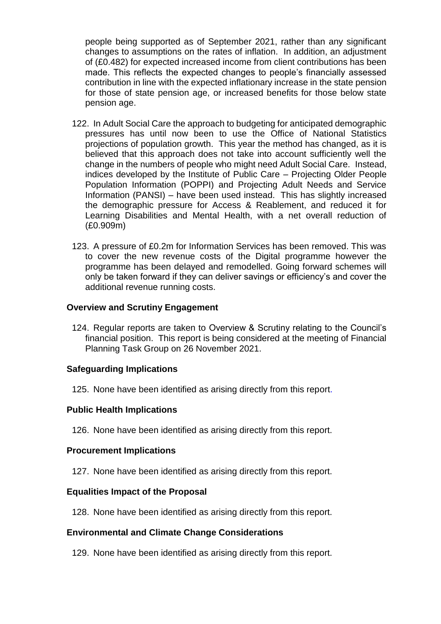people being supported as of September 2021, rather than any significant changes to assumptions on the rates of inflation. In addition, an adjustment of (£0.482) for expected increased income from client contributions has been made. This reflects the expected changes to people's financially assessed contribution in line with the expected inflationary increase in the state pension for those of state pension age, or increased benefits for those below state pension age.

- 122. In Adult Social Care the approach to budgeting for anticipated demographic pressures has until now been to use the Office of National Statistics projections of population growth. This year the method has changed, as it is believed that this approach does not take into account sufficiently well the change in the numbers of people who might need Adult Social Care. Instead, indices developed by the Institute of Public Care – Projecting Older People Population Information (POPPI) and Projecting Adult Needs and Service Information (PANSI) – have been used instead. This has slightly increased the demographic pressure for Access & Reablement, and reduced it for Learning Disabilities and Mental Health, with a net overall reduction of (£0.909m)
- 123. A pressure of £0.2m for Information Services has been removed. This was to cover the new revenue costs of the Digital programme however the programme has been delayed and remodelled. Going forward schemes will only be taken forward if they can deliver savings or efficiency's and cover the additional revenue running costs.

#### **Overview and Scrutiny Engagement**

124. Regular reports are taken to Overview & Scrutiny relating to the Council's financial position. This report is being considered at the meeting of Financial Planning Task Group on 26 November 2021.

#### **Safeguarding Implications**

125. None have been identified as arising directly from this report.

#### **Public Health Implications**

126. None have been identified as arising directly from this report.

#### **Procurement Implications**

127. None have been identified as arising directly from this report.

#### **Equalities Impact of the Proposal**

128. None have been identified as arising directly from this report.

#### **Environmental and Climate Change Considerations**

129. None have been identified as arising directly from this report.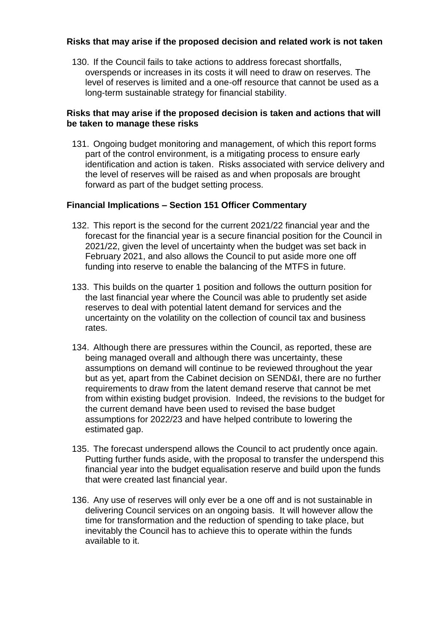## **Risks that may arise if the proposed decision and related work is not taken**

130. If the Council fails to take actions to address forecast shortfalls, overspends or increases in its costs it will need to draw on reserves. The level of reserves is limited and a one-off resource that cannot be used as a long-term sustainable strategy for financial stability.

## **Risks that may arise if the proposed decision is taken and actions that will be taken to manage these risks**

131. Ongoing budget monitoring and management, of which this report forms part of the control environment, is a mitigating process to ensure early identification and action is taken. Risks associated with service delivery and the level of reserves will be raised as and when proposals are brought forward as part of the budget setting process.

## **Financial Implications – Section 151 Officer Commentary**

- 132. This report is the second for the current 2021/22 financial year and the forecast for the financial year is a secure financial position for the Council in 2021/22, given the level of uncertainty when the budget was set back in February 2021, and also allows the Council to put aside more one off funding into reserve to enable the balancing of the MTFS in future.
- 133. This builds on the quarter 1 position and follows the outturn position for the last financial year where the Council was able to prudently set aside reserves to deal with potential latent demand for services and the uncertainty on the volatility on the collection of council tax and business rates.
- 134. Although there are pressures within the Council, as reported, these are being managed overall and although there was uncertainty, these assumptions on demand will continue to be reviewed throughout the year but as yet, apart from the Cabinet decision on SEND&I, there are no further requirements to draw from the latent demand reserve that cannot be met from within existing budget provision. Indeed, the revisions to the budget for the current demand have been used to revised the base budget assumptions for 2022/23 and have helped contribute to lowering the estimated gap.
- 135. The forecast underspend allows the Council to act prudently once again. Putting further funds aside, with the proposal to transfer the underspend this financial year into the budget equalisation reserve and build upon the funds that were created last financial year.
- 136. Any use of reserves will only ever be a one off and is not sustainable in delivering Council services on an ongoing basis. It will however allow the time for transformation and the reduction of spending to take place, but inevitably the Council has to achieve this to operate within the funds available to it.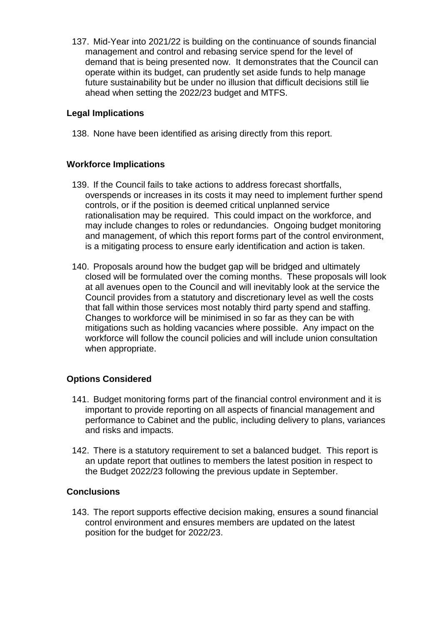137. Mid-Year into 2021/22 is building on the continuance of sounds financial management and control and rebasing service spend for the level of demand that is being presented now. It demonstrates that the Council can operate within its budget, can prudently set aside funds to help manage future sustainability but be under no illusion that difficult decisions still lie ahead when setting the 2022/23 budget and MTFS.

## **Legal Implications**

138. None have been identified as arising directly from this report.

#### **Workforce Implications**

- 139. If the Council fails to take actions to address forecast shortfalls, overspends or increases in its costs it may need to implement further spend controls, or if the position is deemed critical unplanned service rationalisation may be required. This could impact on the workforce, and may include changes to roles or redundancies. Ongoing budget monitoring and management, of which this report forms part of the control environment, is a mitigating process to ensure early identification and action is taken.
- 140. Proposals around how the budget gap will be bridged and ultimately closed will be formulated over the coming months. These proposals will look at all avenues open to the Council and will inevitably look at the service the Council provides from a statutory and discretionary level as well the costs that fall within those services most notably third party spend and staffing. Changes to workforce will be minimised in so far as they can be with mitigations such as holding vacancies where possible. Any impact on the workforce will follow the council policies and will include union consultation when appropriate.

## **Options Considered**

- 141. Budget monitoring forms part of the financial control environment and it is important to provide reporting on all aspects of financial management and performance to Cabinet and the public, including delivery to plans, variances and risks and impacts.
- 142. There is a statutory requirement to set a balanced budget. This report is an update report that outlines to members the latest position in respect to the Budget 2022/23 following the previous update in September.

#### **Conclusions**

143. The report supports effective decision making, ensures a sound financial control environment and ensures members are updated on the latest position for the budget for 2022/23.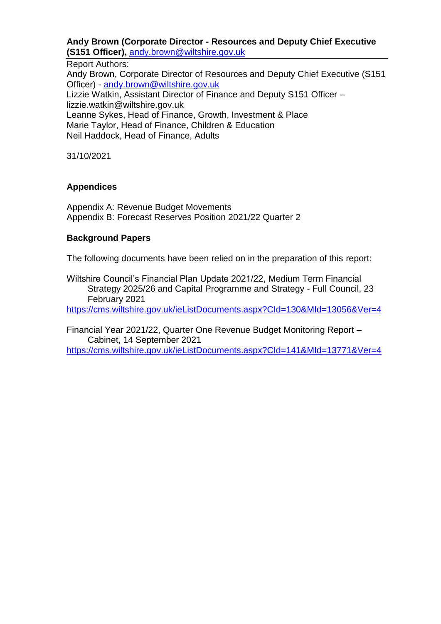#### **Andy Brown (Corporate Director - Resources and Deputy Chief Executive (S151 Officer),** [andy.brown@wiltshire.gov.uk](mailto:andy.brown@wiltshire.gov.uk)

#### Report Authors:

Andy Brown, Corporate Director of Resources and Deputy Chief Executive (S151 Officer) - andy.brown@wiltshire.gov.uk Lizzie Watkin, Assistant Director of Finance and Deputy S151 Officer – lizzie.watkin@wiltshire.gov.uk Leanne Sykes, Head of Finance, Growth, Investment & Place Marie Taylor, Head of Finance, Children & Education Neil Haddock, Head of Finance, Adults

31/10/2021

## **Appendices**

Appendix A: Revenue Budget Movements Appendix B: Forecast Reserves Position 2021/22 Quarter 2

#### **Background Papers**

The following documents have been relied on in the preparation of this report:

Wiltshire Council's Financial Plan Update 2021/22, Medium Term Financial Strategy 2025/26 and Capital Programme and Strategy - Full Council, 23 February 2021

<https://cms.wiltshire.gov.uk/ieListDocuments.aspx?CId=130&MId=13056&Ver=4>

Financial Year 2021/22, Quarter One Revenue Budget Monitoring Report – Cabinet, 14 September 2021

<https://cms.wiltshire.gov.uk/ieListDocuments.aspx?CId=141&MId=13771&Ver=4>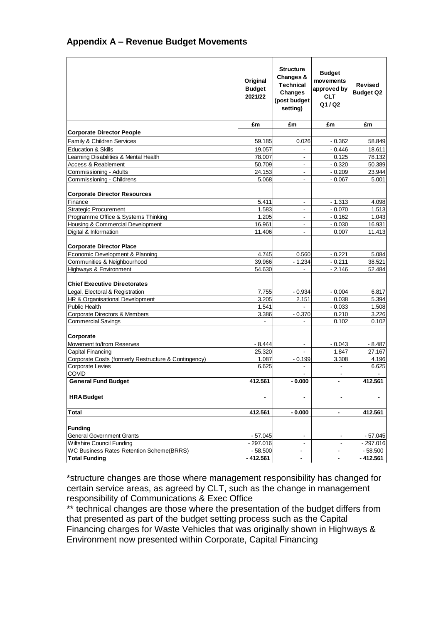## **Appendix A – Revenue Budget Movements**

|                                                      | Original<br><b>Budget</b><br>2021/22 | <b>Structure</b><br>Changes &<br><b>Technical</b><br><b>Changes</b><br>(post budget<br>setting) | <b>Budget</b><br>movements<br>approved by<br><b>CLT</b><br>Q1/Q2 | <b>Revised</b><br><b>Budget Q2</b> |
|------------------------------------------------------|--------------------------------------|-------------------------------------------------------------------------------------------------|------------------------------------------------------------------|------------------------------------|
|                                                      | £m                                   | £m                                                                                              | £m                                                               | £m                                 |
| <b>Corporate Director People</b>                     |                                      |                                                                                                 |                                                                  |                                    |
| Family & Children Services                           | 59.185                               | 0.026                                                                                           | $-0.362$                                                         | 58.849                             |
| <b>Education &amp; Skills</b>                        | 19.057                               |                                                                                                 | $-0.446$                                                         | 18.611                             |
| Learning Disabilities & Mental Health                | 78.007                               | $\blacksquare$                                                                                  | 0.125                                                            | 78.132                             |
| Access & Reablement                                  | 50.709                               | $\overline{\phantom{a}}$                                                                        | $-0.320$                                                         | 50.389                             |
| Commissioning - Adults                               | 24.153                               | $\blacksquare$                                                                                  | $-0.209$                                                         | 23.944                             |
| Commissioning - Childrens                            | 5.068                                | $\overline{a}$                                                                                  | $-0.067$                                                         | 5.001                              |
|                                                      |                                      |                                                                                                 |                                                                  |                                    |
| <b>Corporate Director Resources</b>                  |                                      |                                                                                                 |                                                                  |                                    |
| Finance                                              | 5.411                                |                                                                                                 | $-1.313$                                                         | 4.098                              |
| <b>Strategic Procurement</b>                         | 1.583                                | $\overline{a}$                                                                                  | $-0.070$                                                         | 1.513                              |
| Programme Office & Systems Thinking                  | 1.205                                | $\overline{\phantom{a}}$                                                                        | $-0.162$                                                         | 1.043                              |
| Housing & Commercial Development                     | 16.961                               | $\overline{a}$                                                                                  | $-0.030$                                                         | 16.931                             |
| Digital & Information                                | 11.406                               | $\overline{\phantom{a}}$                                                                        | 0.007                                                            | 11.413                             |
|                                                      |                                      |                                                                                                 |                                                                  |                                    |
| <b>Corporate Director Place</b>                      |                                      |                                                                                                 |                                                                  |                                    |
| Economic Development & Planning                      | 4.745                                | 0.560                                                                                           | $-0.221$                                                         | 5.084                              |
| Communities & Neighbourhood                          | 39.966                               | $-1.234$                                                                                        | $-0.211$                                                         | 38.521                             |
| Highways & Environment                               | 54.630                               |                                                                                                 | $-2.146$                                                         | 52.484                             |
|                                                      |                                      |                                                                                                 |                                                                  |                                    |
| <b>Chief Executive Directorates</b>                  |                                      |                                                                                                 |                                                                  |                                    |
| Legal, Electoral & Registration                      | 7.755                                | $-0.934$                                                                                        | $-0.004$                                                         | 6.817                              |
| HR & Organisational Development                      | 3.205                                | 2.151                                                                                           | 0.038                                                            | 5.394                              |
| <b>Public Health</b>                                 | 1.541                                |                                                                                                 | $-0.033$                                                         | 1.508                              |
| Corporate Directors & Members                        | 3.386                                | $-0.370$                                                                                        | 0.210                                                            | 3.226                              |
| <b>Commercial Savings</b>                            | $\overline{a}$                       | $\overline{a}$                                                                                  | 0.102                                                            | 0.102                              |
|                                                      |                                      |                                                                                                 |                                                                  |                                    |
| Corporate                                            |                                      |                                                                                                 |                                                                  |                                    |
| Movement to/from Reserves                            | $-8.444$                             | $\blacksquare$                                                                                  | $-0.043$                                                         | $-8.487$                           |
| <b>Capital Financing</b>                             | 25.320                               | $\blacksquare$                                                                                  | 1.847                                                            | 27.167                             |
| Corporate Costs (formerly Restructure & Contingency) | 1.087                                | $-0.199$                                                                                        | 3.308                                                            | 4.196                              |
| <b>Corporate Levies</b>                              | 6.625                                |                                                                                                 |                                                                  | 6.625                              |
| <b>COVID</b>                                         |                                      |                                                                                                 | $\blacksquare$                                                   |                                    |
| <b>General Fund Budget</b>                           | 412.561                              | $-0.000$                                                                                        | $\overline{\phantom{0}}$                                         | 412.561                            |
| <b>HRA</b> Budget                                    |                                      |                                                                                                 |                                                                  |                                    |
| <b>Total</b>                                         | 412.561                              | $-0.000$                                                                                        | $\qquad \qquad \blacksquare$                                     | 412.561                            |
| Funding                                              |                                      |                                                                                                 |                                                                  |                                    |
| <b>General Government Grants</b>                     | - 57.045                             | $\overline{\phantom{a}}$                                                                        | $\blacksquare$                                                   | $-57.045$                          |
| <b>Wiltshire Council Funding</b>                     | $-297.016$                           | $\overline{\phantom{a}}$                                                                        | $\blacksquare$                                                   | $-297.016$                         |
| <b>WC Business Rates Retention Scheme(BRRS)</b>      | $-58.500$                            | $\blacksquare$                                                                                  | $\blacksquare$                                                   | $-58.500$                          |
| <b>Total Funding</b>                                 | $-412.561$                           | $\blacksquare$                                                                                  | $\blacksquare$                                                   | $-412.561$                         |

\*structure changes are those where management responsibility has changed for certain service areas, as agreed by CLT, such as the change in management responsibility of Communications & Exec Office

\*\* technical changes are those where the presentation of the budget differs from that presented as part of the budget setting process such as the Capital Financing charges for Waste Vehicles that was originally shown in Highways & Environment now presented within Corporate, Capital Financing